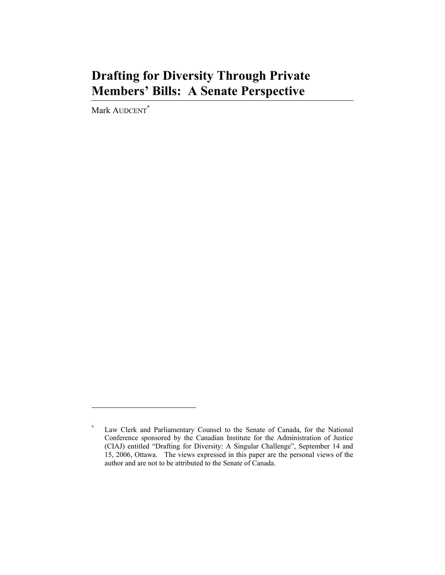# **Drafting for Diversity Through Private Members' Bills: A Senate Perspective**

Mark AUDCENT<sup>\*</sup>

**<sup>\*</sup>** Law Clerk and Parliamentary Counsel to the Senate of Canada, for the National Conference sponsored by the Canadian Institute for the Administration of Justice (CIAJ) entitled "Drafting for Diversity: A Singular Challenge", September 14 and 15, 2006, Ottawa. The views expressed in this paper are the personal views of the author and are not to be attributed to the Senate of Canada.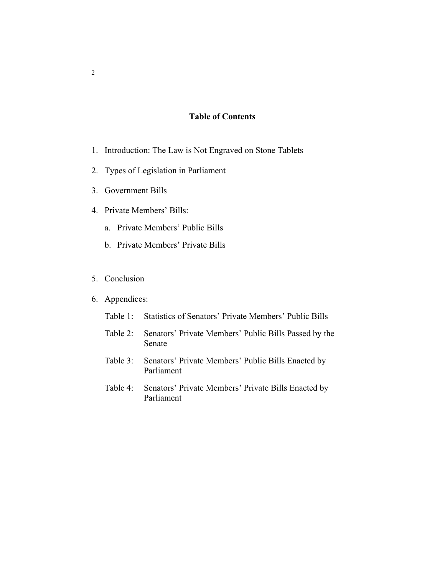#### **Table of Contents**

- 1. Introduction: The Law is Not Engraved on Stone Tablets
- 2. Types of Legislation in Parliament
- 3. Government Bills
- 4. Private Members' Bills:
	- a. Private Members' Public Bills
	- b. Private Members' Private Bills
- 5. Conclusion
- 6. Appendices:
	- Table 1: Statistics of Senators' Private Members' Public Bills
	- Table 2: Senators' Private Members' Public Bills Passed by the Senate
	- Table 3: Senators' Private Members' Public Bills Enacted by Parliament
	- Table 4: Senators' Private Members' Private Bills Enacted by Parliament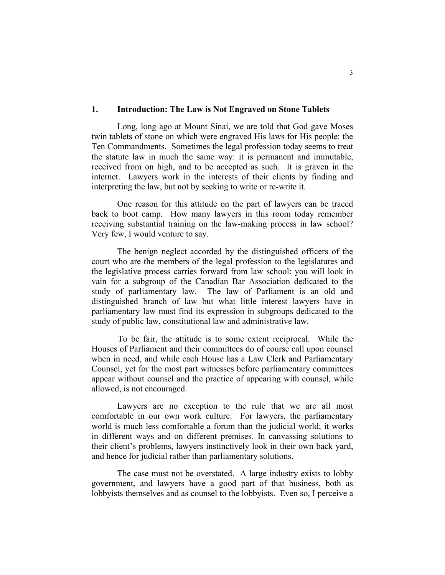#### **1. Introduction: The Law is Not Engraved on Stone Tablets**

 Long, long ago at Mount Sinai, we are told that God gave Moses twin tablets of stone on which were engraved His laws for His people: the Ten Commandments. Sometimes the legal profession today seems to treat the statute law in much the same way: it is permanent and immutable, received from on high, and to be accepted as such. It is graven in the internet. Lawyers work in the interests of their clients by finding and interpreting the law, but not by seeking to write or re-write it.

 One reason for this attitude on the part of lawyers can be traced back to boot camp. How many lawyers in this room today remember receiving substantial training on the law-making process in law school? Very few, I would venture to say.

 The benign neglect accorded by the distinguished officers of the court who are the members of the legal profession to the legislatures and the legislative process carries forward from law school: you will look in vain for a subgroup of the Canadian Bar Association dedicated to the study of parliamentary law. The law of Parliament is an old and distinguished branch of law but what little interest lawyers have in parliamentary law must find its expression in subgroups dedicated to the study of public law, constitutional law and administrative law.

To be fair, the attitude is to some extent reciprocal. While the Houses of Parliament and their committees do of course call upon counsel when in need, and while each House has a Law Clerk and Parliamentary Counsel, yet for the most part witnesses before parliamentary committees appear without counsel and the practice of appearing with counsel, while allowed, is not encouraged.

 Lawyers are no exception to the rule that we are all most comfortable in our own work culture. For lawyers, the parliamentary world is much less comfortable a forum than the judicial world; it works in different ways and on different premises. In canvassing solutions to their client's problems, lawyers instinctively look in their own back yard, and hence for judicial rather than parliamentary solutions.

 The case must not be overstated. A large industry exists to lobby government, and lawyers have a good part of that business, both as lobbyists themselves and as counsel to the lobbyists. Even so, I perceive a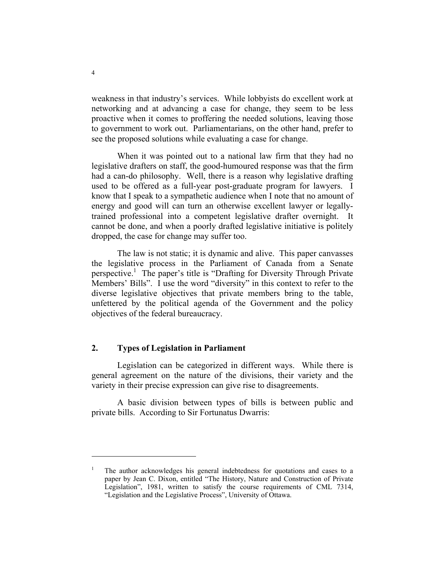weakness in that industry's services. While lobbyists do excellent work at networking and at advancing a case for change, they seem to be less proactive when it comes to proffering the needed solutions, leaving those to government to work out. Parliamentarians, on the other hand, prefer to see the proposed solutions while evaluating a case for change.

 When it was pointed out to a national law firm that they had no legislative drafters on staff, the good-humoured response was that the firm had a can-do philosophy. Well, there is a reason why legislative drafting used to be offered as a full-year post-graduate program for lawyers. I know that I speak to a sympathetic audience when I note that no amount of energy and good will can turn an otherwise excellent lawyer or legallytrained professional into a competent legislative drafter overnight. It cannot be done, and when a poorly drafted legislative initiative is politely dropped, the case for change may suffer too.

 The law is not static; it is dynamic and alive. This paper canvasses the legislative process in the Parliament of Canada from a Senate perspective.<sup>1</sup> The paper's title is "Drafting for Diversity Through Private Members' Bills". I use the word "diversity" in this context to refer to the diverse legislative objectives that private members bring to the table, unfettered by the political agenda of the Government and the policy objectives of the federal bureaucracy.

#### **2. Types of Legislation in Parliament**

 Legislation can be categorized in different ways. While there is general agreement on the nature of the divisions, their variety and the variety in their precise expression can give rise to disagreements.

 A basic division between types of bills is between public and private bills. According to Sir Fortunatus Dwarris:

<sup>1</sup> The author acknowledges his general indebtedness for quotations and cases to a paper by Jean C. Dixon, entitled "The History, Nature and Construction of Private Legislation", 1981, written to satisfy the course requirements of CML 7314, "Legislation and the Legislative Process", University of Ottawa.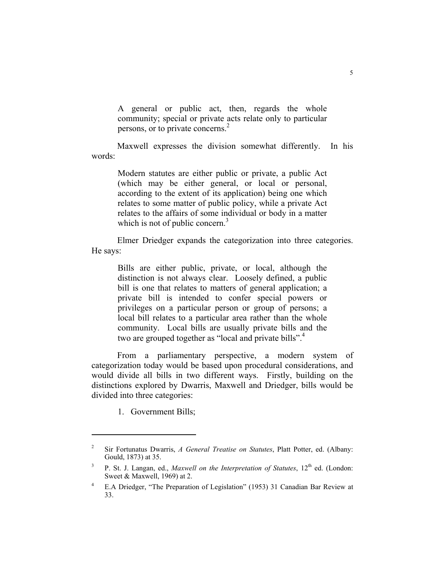A general or public act, then, regards the whole community; special or private acts relate only to particular persons, or to private concerns.2

 Maxwell expresses the division somewhat differently. In his words:

Modern statutes are either public or private, a public Act (which may be either general, or local or personal, according to the extent of its application) being one which relates to some matter of public policy, while a private Act relates to the affairs of some individual or body in a matter which is not of public concern. $3$ 

 Elmer Driedger expands the categorization into three categories. He says:

> Bills are either public, private, or local, although the distinction is not always clear. Loosely defined, a public bill is one that relates to matters of general application; a private bill is intended to confer special powers or privileges on a particular person or group of persons; a local bill relates to a particular area rather than the whole community. Local bills are usually private bills and the two are grouped together as "local and private bills".<sup>4</sup>

 From a parliamentary perspective, a modern system of categorization today would be based upon procedural considerations, and would divide all bills in two different ways. Firstly, building on the distinctions explored by Dwarris, Maxwell and Driedger, bills would be divided into three categories:

1. Government Bills;

<sup>2</sup> Sir Fortunatus Dwarris, *A General Treatise on Statutes*, Platt Potter, ed. (Albany: Gould, 1873) at 35.

<sup>3</sup> P. St. J. Langan, ed., *Maxwell on the Interpretation of Statutes*,  $12<sup>th</sup>$  ed. (London: Sweet & Maxwell, 1969) at 2.

<sup>4</sup> E.A Driedger, "The Preparation of Legislation" (1953) 31 Canadian Bar Review at 33.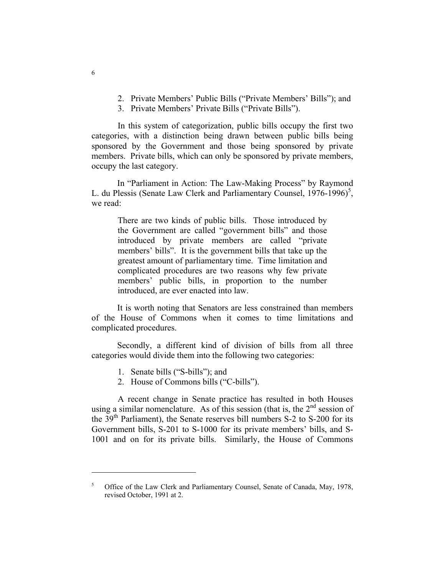- 2. Private Members' Public Bills ("Private Members' Bills"); and
- 3. Private Members' Private Bills ("Private Bills").

In this system of categorization, public bills occupy the first two categories, with a distinction being drawn between public bills being sponsored by the Government and those being sponsored by private members. Private bills, which can only be sponsored by private members, occupy the last category.

 In "Parliament in Action: The Law-Making Process" by Raymond L. du Plessis (Senate Law Clerk and Parliamentary Counsel,  $1976-1996$ <sup>5</sup>, we read:

There are two kinds of public bills. Those introduced by the Government are called "government bills" and those introduced by private members are called "private members' bills". It is the government bills that take up the greatest amount of parliamentary time. Time limitation and complicated procedures are two reasons why few private members' public bills, in proportion to the number introduced, are ever enacted into law.

 It is worth noting that Senators are less constrained than members of the House of Commons when it comes to time limitations and complicated procedures.

 Secondly, a different kind of division of bills from all three categories would divide them into the following two categories:

- 1. Senate bills ("S-bills"); and
- 2. House of Commons bills ("C-bills").

A recent change in Senate practice has resulted in both Houses using a similar nomenclature. As of this session (that is, the  $2<sup>nd</sup>$  session of the  $39<sup>th</sup>$  Parliament), the Senate reserves bill numbers S-2 to S-200 for its Government bills, S-201 to S-1000 for its private members' bills, and S-1001 and on for its private bills. Similarly, the House of Commons

<sup>5</sup> Office of the Law Clerk and Parliamentary Counsel, Senate of Canada, May, 1978, revised October, 1991 at 2.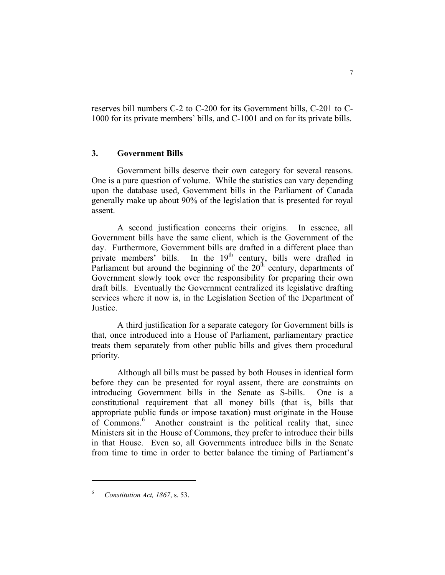reserves bill numbers C-2 to C-200 for its Government bills, C-201 to C-1000 for its private members' bills, and C-1001 and on for its private bills.

#### **3. Government Bills**

 Government bills deserve their own category for several reasons. One is a pure question of volume. While the statistics can vary depending upon the database used, Government bills in the Parliament of Canada generally make up about 90% of the legislation that is presented for royal assent.

 A second justification concerns their origins. In essence, all Government bills have the same client, which is the Government of the day. Furthermore, Government bills are drafted in a different place than private members' bills. In the  $19<sup>th</sup>$  century, bills were drafted in Parliament but around the beginning of the  $20<sup>th</sup>$  century, departments of Government slowly took over the responsibility for preparing their own draft bills. Eventually the Government centralized its legislative drafting services where it now is, in the Legislation Section of the Department of Justice.

 A third justification for a separate category for Government bills is that, once introduced into a House of Parliament, parliamentary practice treats them separately from other public bills and gives them procedural priority.

 Although all bills must be passed by both Houses in identical form before they can be presented for royal assent, there are constraints on introducing Government bills in the Senate as S-bills. One is a constitutional requirement that all money bills (that is, bills that appropriate public funds or impose taxation) must originate in the House of Commons.<sup>6</sup> Another constraint is the political reality that, since Ministers sit in the House of Commons, they prefer to introduce their bills in that House. Even so, all Governments introduce bills in the Senate from time to time in order to better balance the timing of Parliament's

<sup>6</sup> *Constitution Act, 1867*, s. 53.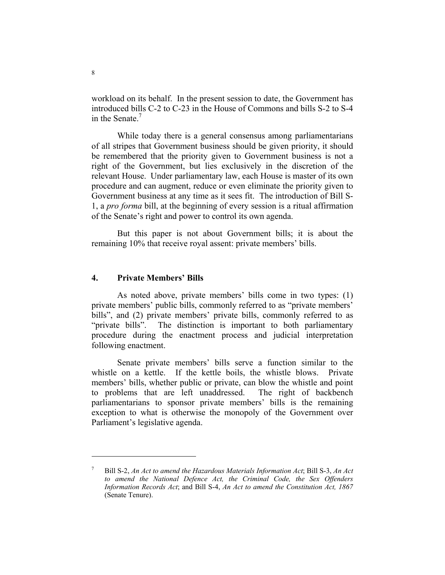workload on its behalf. In the present session to date, the Government has introduced bills C-2 to C-23 in the House of Commons and bills S-2 to S-4 in the Senate.<sup>7</sup>

 While today there is a general consensus among parliamentarians of all stripes that Government business should be given priority, it should be remembered that the priority given to Government business is not a right of the Government, but lies exclusively in the discretion of the relevant House. Under parliamentary law, each House is master of its own procedure and can augment, reduce or even eliminate the priority given to Government business at any time as it sees fit. The introduction of Bill S-1, a *pro forma* bill, at the beginning of every session is a ritual affirmation of the Senate's right and power to control its own agenda.

 But this paper is not about Government bills; it is about the remaining 10% that receive royal assent: private members' bills.

#### **4. Private Members' Bills**

 As noted above, private members' bills come in two types: (1) private members' public bills, commonly referred to as "private members' bills", and (2) private members' private bills, commonly referred to as "private bills". The distinction is important to both parliamentary procedure during the enactment process and judicial interpretation following enactment.

 Senate private members' bills serve a function similar to the whistle on a kettle. If the kettle boils, the whistle blows. Private members' bills, whether public or private, can blow the whistle and point to problems that are left unaddressed. The right of backbench parliamentarians to sponsor private members' bills is the remaining exception to what is otherwise the monopoly of the Government over Parliament's legislative agenda.

<sup>7</sup> Bill S-2, *An Act to amend the Hazardous Materials Information Act*; Bill S-3, *An Act to amend the National Defence Act, the Criminal Code, the Sex Offenders Information Records Act*; and Bill S-4, *An Act to amend the Constitution Act, 1867* (Senate Tenure).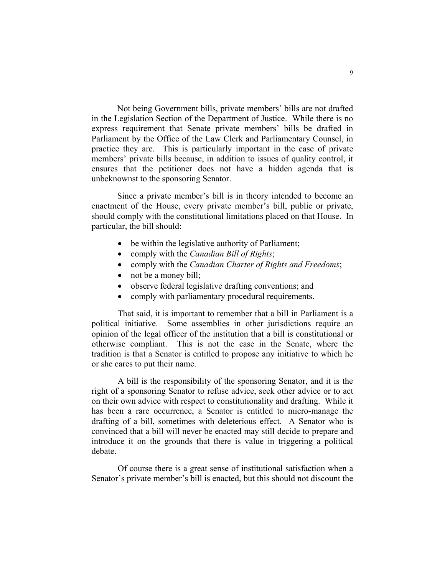Not being Government bills, private members' bills are not drafted in the Legislation Section of the Department of Justice. While there is no express requirement that Senate private members' bills be drafted in Parliament by the Office of the Law Clerk and Parliamentary Counsel, in practice they are. This is particularly important in the case of private members' private bills because, in addition to issues of quality control, it ensures that the petitioner does not have a hidden agenda that is unbeknownst to the sponsoring Senator.

 Since a private member's bill is in theory intended to become an enactment of the House, every private member's bill, public or private, should comply with the constitutional limitations placed on that House. In particular, the bill should:

- be within the legislative authority of Parliament;
- comply with the *Canadian Bill of Rights*;
- comply with the *Canadian Charter of Rights and Freedoms*;
- not be a money bill;
- observe federal legislative drafting conventions; and
- comply with parliamentary procedural requirements.

That said, it is important to remember that a bill in Parliament is a political initiative. Some assemblies in other jurisdictions require an opinion of the legal officer of the institution that a bill is constitutional or otherwise compliant. This is not the case in the Senate, where the tradition is that a Senator is entitled to propose any initiative to which he or she cares to put their name.

A bill is the responsibility of the sponsoring Senator, and it is the right of a sponsoring Senator to refuse advice, seek other advice or to act on their own advice with respect to constitutionality and drafting. While it has been a rare occurrence, a Senator is entitled to micro-manage the drafting of a bill, sometimes with deleterious effect. A Senator who is convinced that a bill will never be enacted may still decide to prepare and introduce it on the grounds that there is value in triggering a political debate.

Of course there is a great sense of institutional satisfaction when a Senator's private member's bill is enacted, but this should not discount the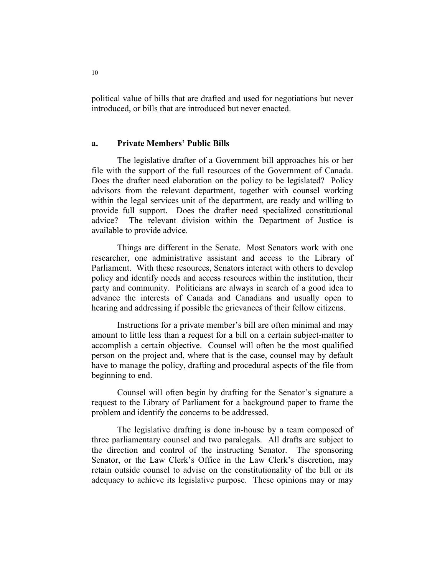political value of bills that are drafted and used for negotiations but never introduced, or bills that are introduced but never enacted.

#### **a. Private Members' Public Bills**

 The legislative drafter of a Government bill approaches his or her file with the support of the full resources of the Government of Canada. Does the drafter need elaboration on the policy to be legislated? Policy advisors from the relevant department, together with counsel working within the legal services unit of the department, are ready and willing to provide full support. Does the drafter need specialized constitutional advice? The relevant division within the Department of Justice is available to provide advice.

 Things are different in the Senate. Most Senators work with one researcher, one administrative assistant and access to the Library of Parliament. With these resources, Senators interact with others to develop policy and identify needs and access resources within the institution, their party and community. Politicians are always in search of a good idea to advance the interests of Canada and Canadians and usually open to hearing and addressing if possible the grievances of their fellow citizens.

 Instructions for a private member's bill are often minimal and may amount to little less than a request for a bill on a certain subject-matter to accomplish a certain objective. Counsel will often be the most qualified person on the project and, where that is the case, counsel may by default have to manage the policy, drafting and procedural aspects of the file from beginning to end.

 Counsel will often begin by drafting for the Senator's signature a request to the Library of Parliament for a background paper to frame the problem and identify the concerns to be addressed.

 The legislative drafting is done in-house by a team composed of three parliamentary counsel and two paralegals. All drafts are subject to the direction and control of the instructing Senator. The sponsoring Senator, or the Law Clerk's Office in the Law Clerk's discretion, may retain outside counsel to advise on the constitutionality of the bill or its adequacy to achieve its legislative purpose. These opinions may or may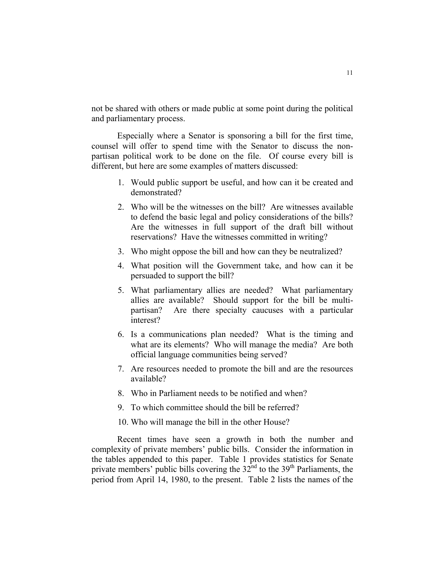not be shared with others or made public at some point during the political and parliamentary process.

 Especially where a Senator is sponsoring a bill for the first time, counsel will offer to spend time with the Senator to discuss the nonpartisan political work to be done on the file. Of course every bill is different, but here are some examples of matters discussed:

- 1. Would public support be useful, and how can it be created and demonstrated?
- 2. Who will be the witnesses on the bill? Are witnesses available to defend the basic legal and policy considerations of the bills? Are the witnesses in full support of the draft bill without reservations? Have the witnesses committed in writing?
- 3. Who might oppose the bill and how can they be neutralized?
- 4. What position will the Government take, and how can it be persuaded to support the bill?
- 5. What parliamentary allies are needed? What parliamentary allies are available? Should support for the bill be multipartisan? Are there specialty caucuses with a particular interest?
- 6. Is a communications plan needed? What is the timing and what are its elements? Who will manage the media? Are both official language communities being served?
- 7. Are resources needed to promote the bill and are the resources available?
- 8. Who in Parliament needs to be notified and when?
- 9. To which committee should the bill be referred?
- 10. Who will manage the bill in the other House?

 Recent times have seen a growth in both the number and complexity of private members' public bills. Consider the information in the tables appended to this paper. Table 1 provides statistics for Senate private members' public bills covering the  $32<sup>nd</sup>$  to the 39<sup>th</sup> Parliaments, the period from April 14, 1980, to the present. Table 2 lists the names of the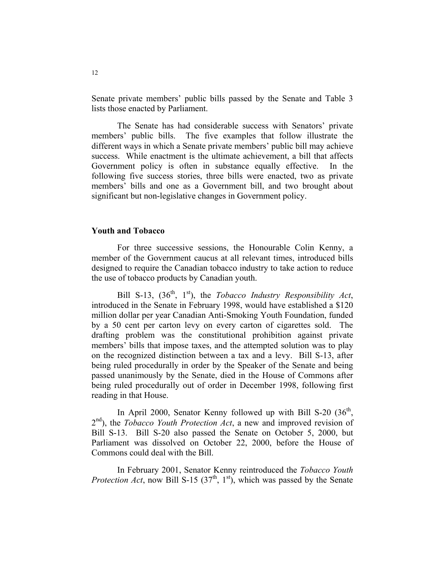Senate private members' public bills passed by the Senate and Table 3 lists those enacted by Parliament.

 The Senate has had considerable success with Senators' private members' public bills. The five examples that follow illustrate the different ways in which a Senate private members' public bill may achieve success. While enactment is the ultimate achievement, a bill that affects Government policy is often in substance equally effective. In the following five success stories, three bills were enacted, two as private members' bills and one as a Government bill, and two brought about significant but non-legislative changes in Government policy.

#### **Youth and Tobacco**

 For three successive sessions, the Honourable Colin Kenny, a member of the Government caucus at all relevant times, introduced bills designed to require the Canadian tobacco industry to take action to reduce the use of tobacco products by Canadian youth.

Bill S-13,  $(36<sup>th</sup>, 1<sup>st</sup>)$ , the *Tobacco Industry Responsibility Act*, introduced in the Senate in February 1998, would have established a \$120 million dollar per year Canadian Anti-Smoking Youth Foundation, funded by a 50 cent per carton levy on every carton of cigarettes sold. The drafting problem was the constitutional prohibition against private members' bills that impose taxes, and the attempted solution was to play on the recognized distinction between a tax and a levy. Bill S-13, after being ruled procedurally in order by the Speaker of the Senate and being passed unanimously by the Senate, died in the House of Commons after being ruled procedurally out of order in December 1998, following first reading in that House.

In April 2000, Senator Kenny followed up with Bill S-20  $(36<sup>th</sup>$ , 2<sup>nd</sup>), the *Tobacco Youth Protection Act*, a new and improved revision of Bill S-13. Bill S-20 also passed the Senate on October 5, 2000, but Parliament was dissolved on October 22, 2000, before the House of Commons could deal with the Bill.

 In February 2001, Senator Kenny reintroduced the *Tobacco Youth Protection Act*, now Bill S-15  $(37<sup>th</sup>, 1<sup>st</sup>)$ , which was passed by the Senate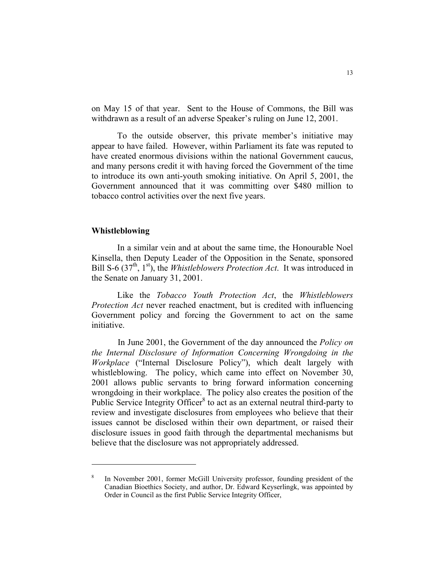on May 15 of that year. Sent to the House of Commons, the Bill was withdrawn as a result of an adverse Speaker's ruling on June 12, 2001.

 To the outside observer, this private member's initiative may appear to have failed. However, within Parliament its fate was reputed to have created enormous divisions within the national Government caucus, and many persons credit it with having forced the Government of the time to introduce its own anti-youth smoking initiative. On April 5, 2001, the Government announced that it was committing over \$480 million to tobacco control activities over the next five years.

#### **Whistleblowing**

 In a similar vein and at about the same time, the Honourable Noel Kinsella, then Deputy Leader of the Opposition in the Senate, sponsored Bill S-6 (37<sup>th</sup>, 1<sup>st</sup>), the *Whistleblowers Protection Act*. It was introduced in the Senate on January 31, 2001.

 Like the *Tobacco Youth Protection Act*, the *Whistleblowers Protection Act* never reached enactment, but is credited with influencing Government policy and forcing the Government to act on the same initiative.

In June 2001, the Government of the day announced the *Policy on the Internal Disclosure of Information Concerning Wrongdoing in the Workplace* ("Internal Disclosure Policy"), which dealt largely with whistleblowing. The policy, which came into effect on November 30, 2001 allows public servants to bring forward information concerning wrongdoing in their workplace. The policy also creates the position of the Public Service Integrity Officer<sup>8</sup> to act as an external neutral third-party to review and investigate disclosures from employees who believe that their issues cannot be disclosed within their own department, or raised their disclosure issues in good faith through the departmental mechanisms but believe that the disclosure was not appropriately addressed.

<sup>8</sup> In November 2001, former McGill University professor, founding president of the Canadian Bioethics Society, and author, Dr. Edward Keyserlingk, was appointed by Order in Council as the first Public Service Integrity Officer,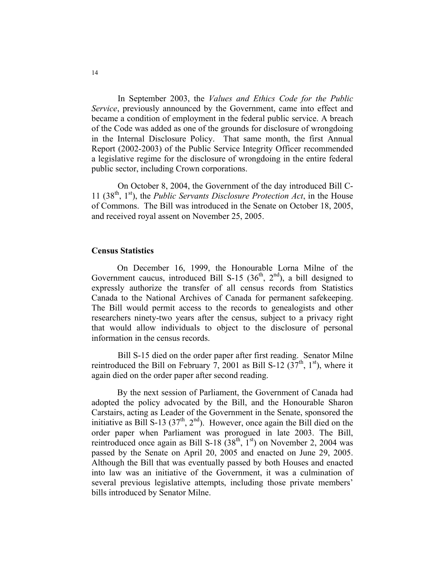In September 2003, the *Values and Ethics Code for the Public Service*, previously announced by the Government, came into effect and became a condition of employment in the federal public service. A breach of the Code was added as one of the grounds for disclosure of wrongdoing in the Internal Disclosure Policy. That same month, the first Annual Report (2002-2003) of the Public Service Integrity Officer recommended a legislative regime for the disclosure of wrongdoing in the entire federal public sector, including Crown corporations.

On October 8, 2004, the Government of the day introduced Bill C-11 (38th, 1st), the *Public Servants Disclosure Protection Act*, in the House of Commons. The Bill was introduced in the Senate on October 18, 2005, and received royal assent on November 25, 2005.

#### **Census Statistics**

 On December 16, 1999, the Honourable Lorna Milne of the Government caucus, introduced Bill S-15 ( $36<sup>th</sup>$ ,  $2<sup>nd</sup>$ ), a bill designed to expressly authorize the transfer of all census records from Statistics Canada to the National Archives of Canada for permanent safekeeping. The Bill would permit access to the records to genealogists and other researchers ninety-two years after the census, subject to a privacy right that would allow individuals to object to the disclosure of personal information in the census records.

Bill S-15 died on the order paper after first reading. Senator Milne reintroduced the Bill on February 7, 2001 as Bill S-12  $(37<sup>th</sup>, 1<sup>st</sup>)$ , where it again died on the order paper after second reading.

 By the next session of Parliament, the Government of Canada had adopted the policy advocated by the Bill, and the Honourable Sharon Carstairs, acting as Leader of the Government in the Senate, sponsored the initiative as Bill S-13 ( $37<sup>th</sup>$ ,  $2<sup>nd</sup>$ ). However, once again the Bill died on the order paper when Parliament was prorogued in late 2003. The Bill, reintroduced once again as Bill S-18  $(38<sup>th</sup>, 1<sup>st</sup>)$  on November 2, 2004 was passed by the Senate on April 20, 2005 and enacted on June 29, 2005. Although the Bill that was eventually passed by both Houses and enacted into law was an initiative of the Government, it was a culmination of several previous legislative attempts, including those private members' bills introduced by Senator Milne.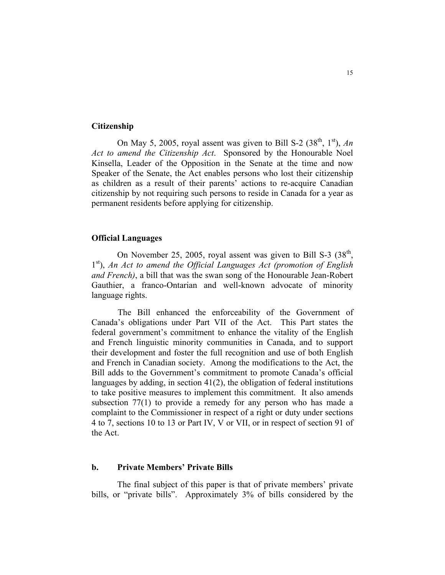#### **Citizenship**

On May 5, 2005, royal assent was given to Bill S-2  $(38<sup>th</sup>, 1<sup>st</sup>)$ , *An Act to amend the Citizenship Act*. Sponsored by the Honourable Noel Kinsella, Leader of the Opposition in the Senate at the time and now Speaker of the Senate, the Act enables persons who lost their citizenship as children as a result of their parents' actions to re-acquire Canadian citizenship by not requiring such persons to reside in Canada for a year as permanent residents before applying for citizenship.

#### **Official Languages**

On November 25, 2005, royal assent was given to Bill S-3  $(38<sup>th</sup>,$ 1st), *An Act to amend the Official Languages Act (promotion of English and French)*, a bill that was the swan song of the Honourable Jean-Robert Gauthier, a franco-Ontarian and well-known advocate of minority language rights.

The Bill enhanced the enforceability of the Government of Canada's obligations under Part VII of the Act. This Part states the federal government's commitment to enhance the vitality of the English and French linguistic minority communities in Canada, and to support their development and foster the full recognition and use of both English and French in Canadian society. Among the modifications to the Act, the Bill adds to the Government's commitment to promote Canada's official languages by adding, in section 41(2), the obligation of federal institutions to take positive measures to implement this commitment. It also amends subsection 77(1) to provide a remedy for any person who has made a complaint to the Commissioner in respect of a right or duty under sections 4 to 7, sections 10 to 13 or Part IV, V or VII, or in respect of section 91 of the Act.

#### **b. Private Members' Private Bills**

 The final subject of this paper is that of private members' private bills, or "private bills". Approximately 3% of bills considered by the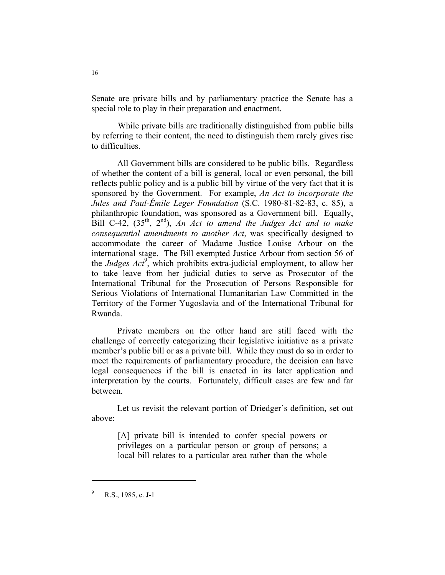Senate are private bills and by parliamentary practice the Senate has a special role to play in their preparation and enactment.

While private bills are traditionally distinguished from public bills by referring to their content, the need to distinguish them rarely gives rise to difficulties.

 All Government bills are considered to be public bills. Regardless of whether the content of a bill is general, local or even personal, the bill reflects public policy and is a public bill by virtue of the very fact that it is sponsored by the Government. For example, *An Act to incorporate the Jules and Paul-Émile Leger Foundation* (S.C. 1980-81-82-83, c. 85), a philanthropic foundation, was sponsored as a Government bill. Equally, Bill C-42, (35th, 2nd), *An Act to amend the Judges Act and to make consequential amendments to another Act*, was specifically designed to accommodate the career of Madame Justice Louise Arbour on the international stage. The Bill exempted Justice Arbour from section 56 of the *Judges Act*<sup>9</sup> , which prohibits extra-judicial employment, to allow her to take leave from her judicial duties to serve as Prosecutor of the International Tribunal for the Prosecution of Persons Responsible for Serious Violations of International Humanitarian Law Committed in the Territory of the Former Yugoslavia and of the International Tribunal for Rwanda.

 Private members on the other hand are still faced with the challenge of correctly categorizing their legislative initiative as a private member's public bill or as a private bill. While they must do so in order to meet the requirements of parliamentary procedure, the decision can have legal consequences if the bill is enacted in its later application and interpretation by the courts. Fortunately, difficult cases are few and far between.

 Let us revisit the relevant portion of Driedger's definition, set out above:

[A] private bill is intended to confer special powers or privileges on a particular person or group of persons; a local bill relates to a particular area rather than the whole

<sup>9</sup> R.S., 1985, c. J-1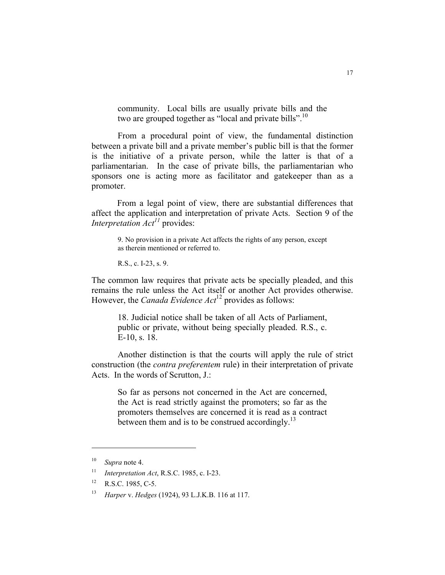community. Local bills are usually private bills and the two are grouped together as "local and private bills".<sup>10</sup>

From a procedural point of view, the fundamental distinction between a private bill and a private member's public bill is that the former is the initiative of a private person, while the latter is that of a parliamentarian. In the case of private bills, the parliamentarian who sponsors one is acting more as facilitator and gatekeeper than as a promoter.

 From a legal point of view, there are substantial differences that affect the application and interpretation of private Acts. Section 9 of the *Interpretation Act<sup>11</sup>* provides:

9. No provision in a private Act affects the rights of any person, except as therein mentioned or referred to.

R.S., c. I-23, s. 9.

The common law requires that private acts be specially pleaded, and this remains the rule unless the Act itself or another Act provides otherwise. However, the *Canada Evidence Act*<sup>12</sup> provides as follows:

> 18. Judicial notice shall be taken of all Acts of Parliament, public or private, without being specially pleaded. R.S., c. E-10, s. 18.

Another distinction is that the courts will apply the rule of strict construction (the *contra preferentem* rule) in their interpretation of private Acts. In the words of Scrutton, J.:

So far as persons not concerned in the Act are concerned, the Act is read strictly against the promoters; so far as the promoters themselves are concerned it is read as a contract between them and is to be construed accordingly.<sup>13</sup>

<sup>10</sup> *Supra* note 4.

<sup>11</sup> *Interpretation Act*, R.S.C. 1985, c. I-23.

<sup>&</sup>lt;sup>12</sup> R.S.C. 1985, C-5.

<sup>13</sup> *Harper* v. *Hedges* (1924), 93 L.J.K.B. 116 at 117.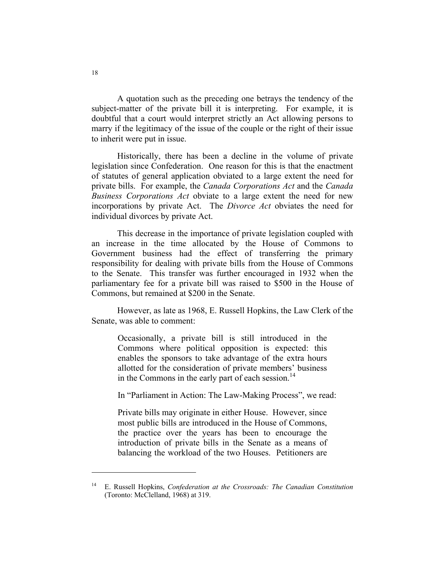A quotation such as the preceding one betrays the tendency of the subject-matter of the private bill it is interpreting. For example, it is doubtful that a court would interpret strictly an Act allowing persons to marry if the legitimacy of the issue of the couple or the right of their issue to inherit were put in issue.

 Historically, there has been a decline in the volume of private legislation since Confederation. One reason for this is that the enactment of statutes of general application obviated to a large extent the need for private bills. For example, the *Canada Corporations Act* and the *Canada Business Corporations Act* obviate to a large extent the need for new incorporations by private Act. The *Divorce Act* obviates the need for individual divorces by private Act.

 This decrease in the importance of private legislation coupled with an increase in the time allocated by the House of Commons to Government business had the effect of transferring the primary responsibility for dealing with private bills from the House of Commons to the Senate. This transfer was further encouraged in 1932 when the parliamentary fee for a private bill was raised to \$500 in the House of Commons, but remained at \$200 in the Senate.

 However, as late as 1968, E. Russell Hopkins, the Law Clerk of the Senate, was able to comment:

Occasionally, a private bill is still introduced in the Commons where political opposition is expected: this enables the sponsors to take advantage of the extra hours allotted for the consideration of private members' business in the Commons in the early part of each session. $^{14}$ 

In "Parliament in Action: The Law-Making Process", we read:

Private bills may originate in either House. However, since most public bills are introduced in the House of Commons, the practice over the years has been to encourage the introduction of private bills in the Senate as a means of balancing the workload of the two Houses. Petitioners are

<sup>14</sup> E. Russell Hopkins, *Confederation at the Crossroads: The Canadian Constitution* (Toronto: McClelland, 1968) at 319.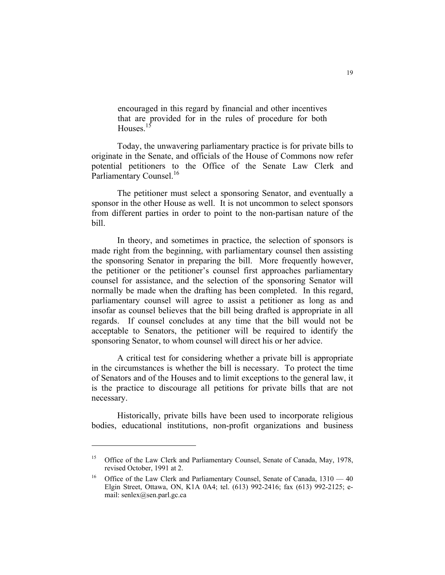encouraged in this regard by financial and other incentives that are provided for in the rules of procedure for both Houses.<sup>15</sup>

 Today, the unwavering parliamentary practice is for private bills to originate in the Senate, and officials of the House of Commons now refer potential petitioners to the Office of the Senate Law Clerk and Parliamentary Counsel.<sup>16</sup>

 The petitioner must select a sponsoring Senator, and eventually a sponsor in the other House as well. It is not uncommon to select sponsors from different parties in order to point to the non-partisan nature of the bill.

 In theory, and sometimes in practice, the selection of sponsors is made right from the beginning, with parliamentary counsel then assisting the sponsoring Senator in preparing the bill. More frequently however, the petitioner or the petitioner's counsel first approaches parliamentary counsel for assistance, and the selection of the sponsoring Senator will normally be made when the drafting has been completed. In this regard, parliamentary counsel will agree to assist a petitioner as long as and insofar as counsel believes that the bill being drafted is appropriate in all regards. If counsel concludes at any time that the bill would not be acceptable to Senators, the petitioner will be required to identify the sponsoring Senator, to whom counsel will direct his or her advice.

 A critical test for considering whether a private bill is appropriate in the circumstances is whether the bill is necessary. To protect the time of Senators and of the Houses and to limit exceptions to the general law, it is the practice to discourage all petitions for private bills that are not necessary.

 Historically, private bills have been used to incorporate religious bodies, educational institutions, non-profit organizations and business

<sup>&</sup>lt;sup>15</sup> Office of the Law Clerk and Parliamentary Counsel, Senate of Canada, May, 1978, revised October, 1991 at 2.

<sup>&</sup>lt;sup>16</sup> Office of the Law Clerk and Parliamentary Counsel, Senate of Canada,  $1310 - 40$ Elgin Street, Ottawa, ON, K1A 0A4; tel. (613) 992-2416; fax (613) 992-2125; email: senlex@sen.parl.gc.ca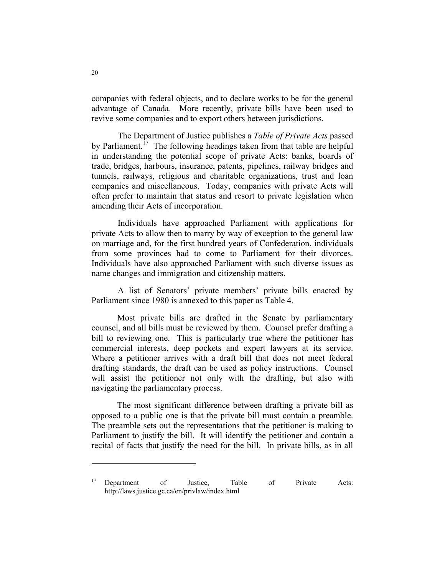companies with federal objects, and to declare works to be for the general advantage of Canada. More recently, private bills have been used to revive some companies and to export others between jurisdictions.

The Department of Justice publishes a *Table of Private Acts* passed by Parliament.<sup>17</sup> The following headings taken from that table are helpful in understanding the potential scope of private Acts: banks, boards of trade, bridges, harbours, insurance, patents, pipelines, railway bridges and tunnels, railways, religious and charitable organizations, trust and loan companies and miscellaneous. Today, companies with private Acts will often prefer to maintain that status and resort to private legislation when amending their Acts of incorporation.

Individuals have approached Parliament with applications for private Acts to allow then to marry by way of exception to the general law on marriage and, for the first hundred years of Confederation, individuals from some provinces had to come to Parliament for their divorces. Individuals have also approached Parliament with such diverse issues as name changes and immigration and citizenship matters.

A list of Senators' private members' private bills enacted by Parliament since 1980 is annexed to this paper as Table 4.

 Most private bills are drafted in the Senate by parliamentary counsel, and all bills must be reviewed by them. Counsel prefer drafting a bill to reviewing one. This is particularly true where the petitioner has commercial interests, deep pockets and expert lawyers at its service. Where a petitioner arrives with a draft bill that does not meet federal drafting standards, the draft can be used as policy instructions. Counsel will assist the petitioner not only with the drafting, but also with navigating the parliamentary process.

 The most significant difference between drafting a private bill as opposed to a public one is that the private bill must contain a preamble. The preamble sets out the representations that the petitioner is making to Parliament to justify the bill. It will identify the petitioner and contain a recital of facts that justify the need for the bill. In private bills, as in all

<sup>&</sup>lt;sup>17</sup> Department of Justice, Table of Private Acts: http://laws.justice.gc.ca/en/privlaw/index.html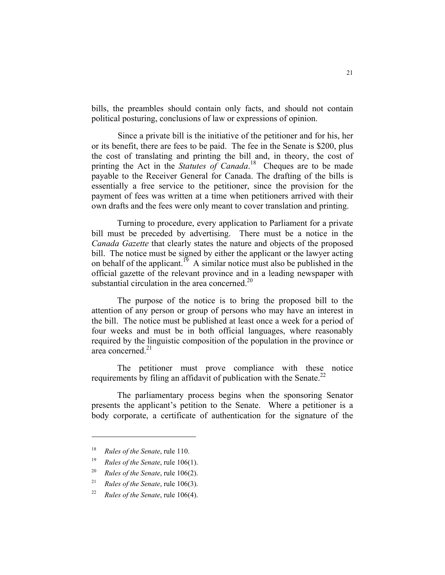bills, the preambles should contain only facts, and should not contain political posturing, conclusions of law or expressions of opinion.

Since a private bill is the initiative of the petitioner and for his, her or its benefit, there are fees to be paid. The fee in the Senate is \$200, plus the cost of translating and printing the bill and, in theory, the cost of printing the Act in the *Statutes of Canada*.<sup>18</sup> Cheques are to be made payable to the Receiver General for Canada. The drafting of the bills is essentially a free service to the petitioner, since the provision for the payment of fees was written at a time when petitioners arrived with their own drafts and the fees were only meant to cover translation and printing.

 Turning to procedure, every application to Parliament for a private bill must be preceded by advertising. There must be a notice in the *Canada Gazette* that clearly states the nature and objects of the proposed bill. The notice must be signed by either the applicant or the lawyer acting on behalf of the applicant.<sup>19</sup> A similar notice must also be published in the official gazette of the relevant province and in a leading newspaper with substantial circulation in the area concerned. $^{20}$ 

 The purpose of the notice is to bring the proposed bill to the attention of any person or group of persons who may have an interest in the bill. The notice must be published at least once a week for a period of four weeks and must be in both official languages, where reasonably required by the linguistic composition of the population in the province or area concerned<sup>21</sup>

 The petitioner must prove compliance with these notice requirements by filing an affidavit of publication with the Senate.<sup>22</sup>

 The parliamentary process begins when the sponsoring Senator presents the applicant's petition to the Senate. Where a petitioner is a body corporate, a certificate of authentication for the signature of the

<sup>18</sup> *Rules of the Senate*, rule 110.

<sup>19</sup> *Rules of the Senate*, rule 106(1).

<sup>20</sup> *Rules of the Senate*, rule 106(2).

<sup>21</sup> *Rules of the Senate*, rule 106(3).

<sup>22</sup> *Rules of the Senate*, rule 106(4).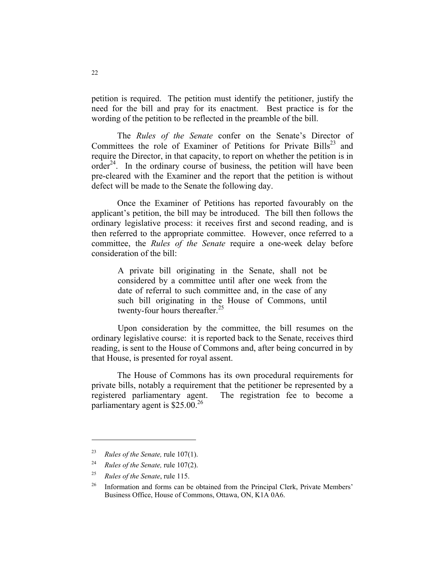petition is required. The petition must identify the petitioner, justify the need for the bill and pray for its enactment. Best practice is for the wording of the petition to be reflected in the preamble of the bill.

 The *Rules of the Senate* confer on the Senate's Director of Committees the role of Examiner of Petitions for Private Bills<sup>23</sup> and require the Director, in that capacity, to report on whether the petition is in order<sup>24</sup>. In the ordinary course of business, the petition will have been pre-cleared with the Examiner and the report that the petition is without defect will be made to the Senate the following day.

 Once the Examiner of Petitions has reported favourably on the applicant's petition, the bill may be introduced. The bill then follows the ordinary legislative process: it receives first and second reading, and is then referred to the appropriate committee. However, once referred to a committee, the *Rules of the Senate* require a one-week delay before consideration of the bill:

A private bill originating in the Senate, shall not be considered by a committee until after one week from the date of referral to such committee and, in the case of any such bill originating in the House of Commons, until twenty-four hours thereafter. $25$ 

Upon consideration by the committee, the bill resumes on the ordinary legislative course: it is reported back to the Senate, receives third reading, is sent to the House of Commons and, after being concurred in by that House, is presented for royal assent.

 The House of Commons has its own procedural requirements for private bills, notably a requirement that the petitioner be represented by a registered parliamentary agent. The registration fee to become a parliamentary agent is  $$25.00<sup>26</sup>$ 

<sup>23</sup> *Rules of the Senate,* rule 107(1).

<sup>24</sup> *Rules of the Senate,* rule 107(2).

<sup>25</sup> *Rules of the Senate*, rule 115.

<sup>&</sup>lt;sup>26</sup> Information and forms can be obtained from the Principal Clerk, Private Members' Business Office, House of Commons, Ottawa, ON, K1A 0A6.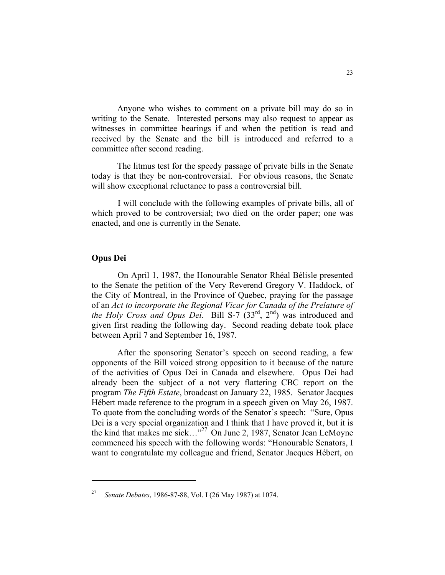Anyone who wishes to comment on a private bill may do so in writing to the Senate. Interested persons may also request to appear as witnesses in committee hearings if and when the petition is read and received by the Senate and the bill is introduced and referred to a committee after second reading.

 The litmus test for the speedy passage of private bills in the Senate today is that they be non-controversial. For obvious reasons, the Senate will show exceptional reluctance to pass a controversial bill.

I will conclude with the following examples of private bills, all of which proved to be controversial; two died on the order paper; one was enacted, and one is currently in the Senate.

#### **Opus Dei**

On April 1, 1987, the Honourable Senator Rhéal Bélisle presented to the Senate the petition of the Very Reverend Gregory V. Haddock, of the City of Montreal, in the Province of Quebec, praying for the passage of an *Act to incorporate the Regional Vicar for Canada of the Prelature of the Holy Cross and Opus Dei.* Bill S-7 (33<sup>rd</sup>, 2<sup>nd</sup>) was introduced and given first reading the following day. Second reading debate took place between April 7 and September 16, 1987.

 After the sponsoring Senator's speech on second reading, a few opponents of the Bill voiced strong opposition to it because of the nature of the activities of Opus Dei in Canada and elsewhere. Opus Dei had already been the subject of a not very flattering CBC report on the program *The Fifth Estate*, broadcast on January 22, 1985. Senator Jacques Hébert made reference to the program in a speech given on May 26, 1987. To quote from the concluding words of the Senator's speech: "Sure, Opus Dei is a very special organization and I think that I have proved it, but it is the kind that makes me sick..."<sup>27</sup> On June 2, 1987, Senator Jean LeMoyne commenced his speech with the following words: "Honourable Senators, I want to congratulate my colleague and friend, Senator Jacques Hébert, on

<sup>27</sup> *Senate Debates*, 1986-87-88, Vol. I (26 May 1987) at 1074.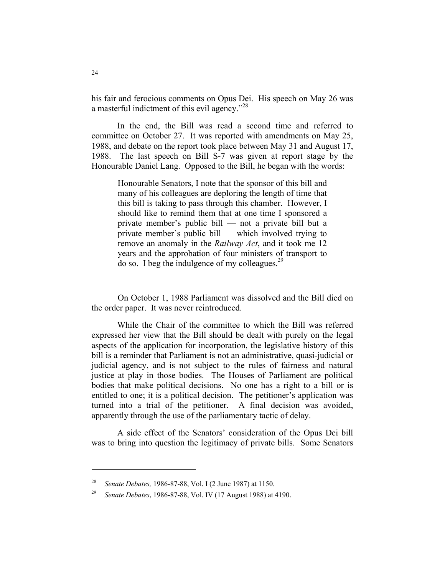his fair and ferocious comments on Opus Dei. His speech on May 26 was a masterful indictment of this evil agency."<sup>28</sup>

 In the end, the Bill was read a second time and referred to committee on October 27. It was reported with amendments on May 25, 1988, and debate on the report took place between May 31 and August 17, 1988. The last speech on Bill S-7 was given at report stage by the Honourable Daniel Lang. Opposed to the Bill, he began with the words:

Honourable Senators, I note that the sponsor of this bill and many of his colleagues are deploring the length of time that this bill is taking to pass through this chamber. However, I should like to remind them that at one time I sponsored a private member's public bill — not a private bill but a private member's public bill — which involved trying to remove an anomaly in the *Railway Act*, and it took me 12 years and the approbation of four ministers of transport to do so. I beg the indulgence of my colleagues. $^{29}$ 

On October 1, 1988 Parliament was dissolved and the Bill died on the order paper. It was never reintroduced.

 While the Chair of the committee to which the Bill was referred expressed her view that the Bill should be dealt with purely on the legal aspects of the application for incorporation, the legislative history of this bill is a reminder that Parliament is not an administrative, quasi-judicial or judicial agency, and is not subject to the rules of fairness and natural justice at play in those bodies. The Houses of Parliament are political bodies that make political decisions. No one has a right to a bill or is entitled to one; it is a political decision. The petitioner's application was turned into a trial of the petitioner. A final decision was avoided, apparently through the use of the parliamentary tactic of delay.

 A side effect of the Senators' consideration of the Opus Dei bill was to bring into question the legitimacy of private bills. Some Senators

<sup>28</sup> *Senate Debates,* 1986-87-88, Vol. I (2 June 1987) at 1150.

<sup>29</sup> *Senate Debates*, 1986-87-88, Vol. IV (17 August 1988) at 4190.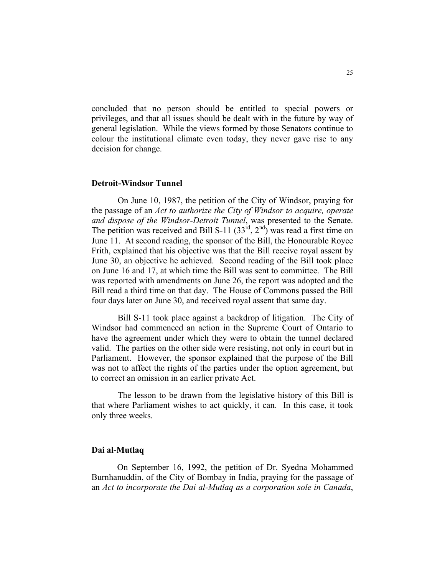concluded that no person should be entitled to special powers or privileges, and that all issues should be dealt with in the future by way of general legislation. While the views formed by those Senators continue to colour the institutional climate even today, they never gave rise to any decision for change.

#### **Detroit-Windsor Tunnel**

On June 10, 1987, the petition of the City of Windsor, praying for the passage of an *Act to authorize the City of Windsor to acquire, operate and dispose of the Windsor-Detroit Tunnel*, was presented to the Senate. The petition was received and Bill S-11  $(33^{rd}, 2^{nd})$  was read a first time on June 11. At second reading, the sponsor of the Bill, the Honourable Royce Frith, explained that his objective was that the Bill receive royal assent by June 30, an objective he achieved. Second reading of the Bill took place on June 16 and 17, at which time the Bill was sent to committee. The Bill was reported with amendments on June 26, the report was adopted and the Bill read a third time on that day. The House of Commons passed the Bill four days later on June 30, and received royal assent that same day.

Bill S-11 took place against a backdrop of litigation. The City of Windsor had commenced an action in the Supreme Court of Ontario to have the agreement under which they were to obtain the tunnel declared valid. The parties on the other side were resisting, not only in court but in Parliament. However, the sponsor explained that the purpose of the Bill was not to affect the rights of the parties under the option agreement, but to correct an omission in an earlier private Act.

The lesson to be drawn from the legislative history of this Bill is that where Parliament wishes to act quickly, it can. In this case, it took only three weeks.

#### **Dai al-Mutlaq**

 On September 16, 1992, the petition of Dr. Syedna Mohammed Burnhanuddin, of the City of Bombay in India, praying for the passage of an *Act to incorporate the Dai al-Mutlaq as a corporation sole in Canada*,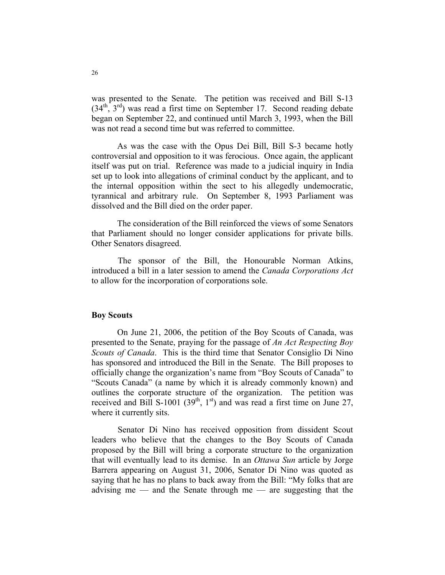was presented to the Senate. The petition was received and Bill S-13  $(34<sup>th</sup>, 3<sup>rd</sup>)$  was read a first time on September 17. Second reading debate began on September 22, and continued until March 3, 1993, when the Bill was not read a second time but was referred to committee.

 As was the case with the Opus Dei Bill, Bill S-3 became hotly controversial and opposition to it was ferocious. Once again, the applicant itself was put on trial. Reference was made to a judicial inquiry in India set up to look into allegations of criminal conduct by the applicant, and to the internal opposition within the sect to his allegedly undemocratic, tyrannical and arbitrary rule. On September 8, 1993 Parliament was dissolved and the Bill died on the order paper.

 The consideration of the Bill reinforced the views of some Senators that Parliament should no longer consider applications for private bills. Other Senators disagreed.

The sponsor of the Bill, the Honourable Norman Atkins, introduced a bill in a later session to amend the *Canada Corporations Act* to allow for the incorporation of corporations sole.

#### **Boy Scouts**

 On June 21, 2006, the petition of the Boy Scouts of Canada, was presented to the Senate, praying for the passage of *An Act Respecting Boy Scouts of Canada*. This is the third time that Senator Consiglio Di Nino has sponsored and introduced the Bill in the Senate. The Bill proposes to officially change the organization's name from "Boy Scouts of Canada" to "Scouts Canada" (a name by which it is already commonly known) and outlines the corporate structure of the organization. The petition was received and Bill S-1001 (39<sup>th</sup>, 1<sup>st</sup>) and was read a first time on June 27, where it currently sits.

Senator Di Nino has received opposition from dissident Scout leaders who believe that the changes to the Boy Scouts of Canada proposed by the Bill will bring a corporate structure to the organization that will eventually lead to its demise. In an *Ottawa Sun* article by Jorge Barrera appearing on August 31, 2006, Senator Di Nino was quoted as saying that he has no plans to back away from the Bill: "My folks that are advising me — and the Senate through me — are suggesting that the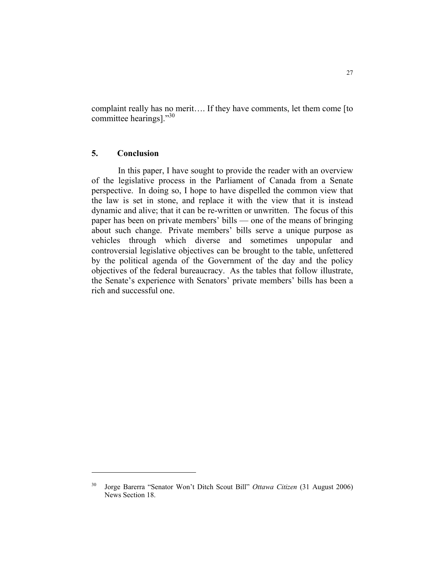complaint really has no merit…. If they have comments, let them come [to committee hearings]."<sup>30</sup>

#### **5. Conclusion**

 In this paper, I have sought to provide the reader with an overview of the legislative process in the Parliament of Canada from a Senate perspective. In doing so, I hope to have dispelled the common view that the law is set in stone, and replace it with the view that it is instead dynamic and alive; that it can be re-written or unwritten. The focus of this paper has been on private members' bills — one of the means of bringing about such change. Private members' bills serve a unique purpose as vehicles through which diverse and sometimes unpopular and controversial legislative objectives can be brought to the table, unfettered by the political agenda of the Government of the day and the policy objectives of the federal bureaucracy. As the tables that follow illustrate, the Senate's experience with Senators' private members' bills has been a rich and successful one.

<sup>30</sup> Jorge Barerra "Senator Won't Ditch Scout Bill" *Ottawa Citizen* (31 August 2006) News Section 18.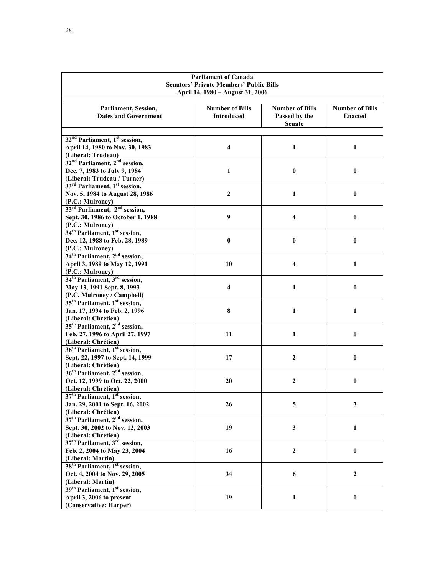| <b>Parliament of Canada</b><br><b>Senators' Private Members' Public Bills</b><br>April 14, 1980 – August 31, 2006 |                                             |                                                          |                                          |
|-------------------------------------------------------------------------------------------------------------------|---------------------------------------------|----------------------------------------------------------|------------------------------------------|
| Parliament, Session,<br><b>Dates and Government</b>                                                               | <b>Number of Bills</b><br><b>Introduced</b> | <b>Number of Bills</b><br>Passed by the<br><b>Senate</b> | <b>Number of Bills</b><br><b>Enacted</b> |
| 32 <sup>nd</sup> Parliament, 1 <sup>st</sup> session,                                                             |                                             |                                                          |                                          |
| April 14, 1980 to Nov. 30, 1983                                                                                   | 4                                           | 1                                                        | 1                                        |
| (Liberal: Trudeau)                                                                                                |                                             |                                                          |                                          |
| 32 <sup>nd</sup> Parliament, 2 <sup>nd</sup> session,                                                             |                                             |                                                          |                                          |
| Dec. 7, 1983 to July 9, 1984                                                                                      | $\mathbf{1}$                                | 0                                                        | $\bf{0}$                                 |
| (Liberal: Trudeau / Turner)                                                                                       |                                             |                                                          |                                          |
| 33 <sup>rd</sup> Parliament, 1 <sup>st</sup> session,                                                             |                                             |                                                          |                                          |
| Nov. 5, 1984 to August 28, 1986                                                                                   | $\boldsymbol{2}$                            | 1                                                        | $\bf{0}$                                 |
| (P.C.: Mulroney)                                                                                                  |                                             |                                                          |                                          |
| 33 <sup>rd</sup> Parliament, 2 <sup>nd</sup> session,                                                             |                                             |                                                          |                                          |
| Sept. 30, 1986 to October 1, 1988                                                                                 | 9                                           | 4                                                        | $\bf{0}$                                 |
| (P.C.: Mulroney)                                                                                                  |                                             |                                                          |                                          |
| 34 <sup>th</sup> Parliament, 1 <sup>st</sup> session,                                                             |                                             |                                                          |                                          |
| Dec. 12, 1988 to Feb. 28, 1989                                                                                    | $\bf{0}$                                    | 0                                                        | $\bf{0}$                                 |
| (P.C.: Mulroney)                                                                                                  |                                             |                                                          |                                          |
| 34 <sup>th</sup> Parliament, 2 <sup>nd</sup> session,                                                             |                                             |                                                          |                                          |
| April 3, 1989 to May 12, 1991                                                                                     | 10                                          | 4                                                        | 1                                        |
| (P.C.: Mulroney)                                                                                                  |                                             |                                                          |                                          |
| 34 <sup>th</sup> Parliament, 3 <sup>rd</sup> session,                                                             |                                             |                                                          |                                          |
| May 13, 1991 Sept. 8, 1993                                                                                        | 4                                           | 1                                                        | $\bf{0}$                                 |
| (P.C. Mulroney / Campbell)                                                                                        |                                             |                                                          |                                          |
| 35 <sup>th</sup> Parliament, 1 <sup>st</sup> session,                                                             |                                             |                                                          |                                          |
| Jan. 17, 1994 to Feb. 2, 1996                                                                                     | 8                                           | 1                                                        | 1                                        |
| (Liberal: Chrétien)                                                                                               |                                             |                                                          |                                          |
| 35 <sup>th</sup> Parliament, 2 <sup>nd</sup> session,                                                             |                                             |                                                          |                                          |
| Feb. 27, 1996 to April 27, 1997                                                                                   | 11                                          | 1                                                        | $\bf{0}$                                 |
| (Liberal: Chrétien)                                                                                               |                                             |                                                          |                                          |
| 36 <sup>th</sup> Parliament, 1 <sup>st</sup> session,                                                             |                                             |                                                          |                                          |
| Sept. 22, 1997 to Sept. 14, 1999                                                                                  | 17                                          | $\overline{2}$                                           | $\bf{0}$                                 |
| (Liberal: Chrétien)                                                                                               |                                             |                                                          |                                          |
| 36 <sup>th</sup> Parliament, 2 <sup>nd</sup> session,                                                             |                                             |                                                          |                                          |
| Oct. 12, 1999 to Oct. 22, 2000                                                                                    | 20                                          | 2                                                        | $\bf{0}$                                 |
| (Liberal: Chrétien)                                                                                               |                                             |                                                          |                                          |
| 37 <sup>th</sup> Parliament, 1 <sup>st</sup> session,                                                             |                                             |                                                          |                                          |
| Jan. 29, 2001 to Sept. 16, 2002                                                                                   | 26                                          | 5                                                        | 3                                        |
| (Liberal: Chrétien)                                                                                               |                                             |                                                          |                                          |
| 37 <sup>th</sup> Parliament, 2 <sup>nd</sup> session,                                                             |                                             |                                                          |                                          |
| Sept. 30, 2002 to Nov. 12, 2003                                                                                   | 19                                          | 3                                                        | $\mathbf{1}$                             |
| (Liberal: Chrétien)                                                                                               |                                             |                                                          |                                          |
| 37 <sup>th</sup> Parliament, 3 <sup>rd</sup> session,                                                             |                                             |                                                          |                                          |
| Feb. 2, 2004 to May 23, 2004                                                                                      | 16                                          | $\boldsymbol{2}$                                         | $\pmb{0}$                                |
| (Liberal: Martin)                                                                                                 |                                             |                                                          |                                          |
| 38 <sup>th</sup> Parliament, 1 <sup>st</sup> session,                                                             |                                             |                                                          |                                          |
| Oct. 4, 2004 to Nov. 29, 2005                                                                                     | 34                                          | 6                                                        | $\boldsymbol{2}$                         |
| (Liberal: Martin)                                                                                                 |                                             |                                                          |                                          |
| 39 <sup>th</sup> Parliament, 1 <sup>st</sup> session,                                                             |                                             |                                                          |                                          |
| April 3, 2006 to present                                                                                          | 19                                          | 1                                                        | $\bf{0}$                                 |
| (Conservative: Harper)                                                                                            |                                             |                                                          |                                          |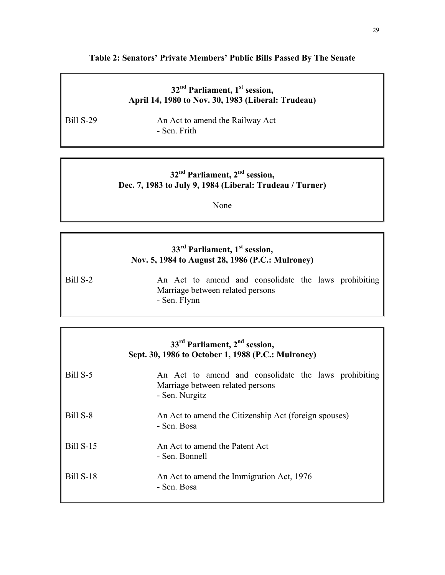#### **Table 2: Senators' Private Members' Public Bills Passed By The Senate**

## **32nd Parliament, 1st session, April 14, 1980 to Nov. 30, 1983 (Liberal: Trudeau)**

Bill S-29 An Act to amend the Railway Act - Sen. Frith

## **32nd Parliament, 2nd session, Dec. 7, 1983 to July 9, 1984 (Liberal: Trudeau / Turner)**

None

#### 33<sup>rd</sup> Parliament, 1<sup>st</sup> session, **Nov. 5, 1984 to August 28, 1986 (P.C.: Mulroney)**

Bill S-2 An Act to amend and consolidate the laws prohibiting Marriage between related persons - Sen. Flynn

| $33rd$ Parliament, $2nd$ session,<br>Sept. 30, 1986 to October 1, 1988 (P.C.: Mulroney) |                                                                                                            |  |  |
|-----------------------------------------------------------------------------------------|------------------------------------------------------------------------------------------------------------|--|--|
| Bill S-5                                                                                | An Act to amend and consolidate the laws prohibiting<br>Marriage between related persons<br>- Sen. Nurgitz |  |  |
| Bill S-8                                                                                | An Act to amend the Citizenship Act (foreign spouses)<br>- Sen. Bosa                                       |  |  |
| <b>Bill S-15</b>                                                                        | An Act to amend the Patent Act<br>- Sen. Bonnell                                                           |  |  |
| <b>Bill S-18</b>                                                                        | An Act to amend the Immigration Act, 1976<br>- Sen. Bosa                                                   |  |  |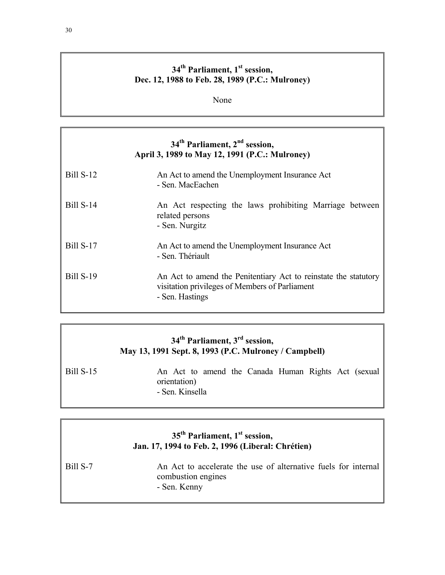## 34<sup>th</sup> Parliament, 1<sup>st</sup> session, **Dec. 12, 1988 to Feb. 28, 1989 (P.C.: Mulroney)**

None

## **34th Parliament, 2nd session, April 3, 1989 to May 12, 1991 (P.C.: Mulroney)**

| <b>Bill S-12</b> | An Act to amend the Unemployment Insurance Act<br>- Sen. MacEachen                                                                   |
|------------------|--------------------------------------------------------------------------------------------------------------------------------------|
| <b>Bill S-14</b> | An Act respecting the laws prohibiting Marriage between<br>related persons<br>- Sen. Nurgitz                                         |
| <b>Bill S-17</b> | An Act to amend the Unemployment Insurance Act<br>- Sen. Thériault                                                                   |
| <b>Bill S-19</b> | An Act to amend the Penitentiary Act to reinstate the statutory<br>visitation privileges of Members of Parliament<br>- Sen. Hastings |

## **34th Parliament, 3rd session, May 13, 1991 Sept. 8, 1993 (P.C. Mulroney / Campbell)**

| <b>Bill S-15</b> |                 |  | An Act to amend the Canada Human Rights Act (sexual |  |  |
|------------------|-----------------|--|-----------------------------------------------------|--|--|
|                  | orientation)    |  |                                                     |  |  |
|                  | - Sen. Kinsella |  |                                                     |  |  |

## 35<sup>th</sup> Parliament, 1<sup>st</sup> session, **Jan. 17, 1994 to Feb. 2, 1996 (Liberal: Chrétien)**

Bill S-7 An Act to accelerate the use of alternative fuels for internal combustion engines - Sen. Kenny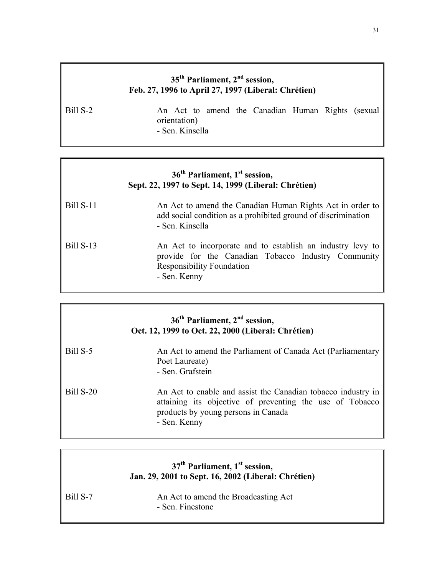## **35th Parliament, 2nd session, Feb. 27, 1996 to April 27, 1997 (Liberal: Chrétien)**

Bill S-2 An Act to amend the Canadian Human Rights (sexual orientation) - Sen. Kinsella

## **36th Parliament, 1st session, Sept. 22, 1997 to Sept. 14, 1999 (Liberal: Chrétien)**

| <b>Bill S-11</b> | An Act to amend the Canadian Human Rights Act in order to<br>add social condition as a prohibited ground of discrimination<br>- Sen. Kinsella |
|------------------|-----------------------------------------------------------------------------------------------------------------------------------------------|
| <b>Bill S-13</b> | An Act to incorporate and to establish an industry levy to                                                                                    |

provide for the Canadian Tobacco Industry Community Responsibility Foundation - Sen. Kenny

| 36 <sup>th</sup> Parliament, 2 <sup>nd</sup> session,<br>Oct. 12, 1999 to Oct. 22, 2000 (Liberal: Chrétien) |                                                                                                                                                                                 |  |
|-------------------------------------------------------------------------------------------------------------|---------------------------------------------------------------------------------------------------------------------------------------------------------------------------------|--|
| Bill S-5                                                                                                    | An Act to amend the Parliament of Canada Act (Parliamentary<br>Poet Laureate)<br>- Sen. Grafstein                                                                               |  |
| <b>Bill S-20</b>                                                                                            | An Act to enable and assist the Canadian tobacco industry in<br>attaining its objective of preventing the use of Tobacco<br>products by young persons in Canada<br>- Sen. Kenny |  |

|          | $37th$ Parliament, 1 <sup>st</sup> session,<br>Jan. 29, 2001 to Sept. 16, 2002 (Liberal: Chrétien) |
|----------|----------------------------------------------------------------------------------------------------|
| Bill S-7 | An Act to amend the Broadcasting Act<br>- Sen. Finestone                                           |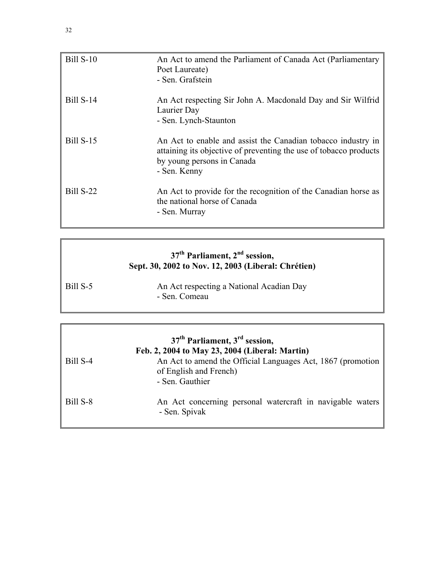| <b>Bill S-10</b> | An Act to amend the Parliament of Canada Act (Parliamentary<br>Poet Laureate)<br>- Sen. Grafstein                                                                               |
|------------------|---------------------------------------------------------------------------------------------------------------------------------------------------------------------------------|
| <b>Bill S-14</b> | An Act respecting Sir John A. Macdonald Day and Sir Wilfrid<br>Laurier Day<br>- Sen. Lynch-Staunton                                                                             |
| <b>Bill S-15</b> | An Act to enable and assist the Canadian tobacco industry in<br>attaining its objective of preventing the use of tobacco products<br>by young persons in Canada<br>- Sen. Kenny |
| Bill S-22        | An Act to provide for the recognition of the Canadian horse as<br>the national horse of Canada<br>- Sen. Murray                                                                 |

## **37th Parliament, 2nd session, Sept. 30, 2002 to Nov. 12, 2003 (Liberal: Chrétien)**

| Bill S-5 | An Act respecting a National Acadian Day |
|----------|------------------------------------------|
|          | - Sen. Comeau                            |

|          | $37th$ Parliament, $3rd$ session,<br>Feb. 2, 2004 to May 23, 2004 (Liberal: Martin)                      |
|----------|----------------------------------------------------------------------------------------------------------|
| Bill S-4 | An Act to amend the Official Languages Act, 1867 (promotion<br>of English and French)<br>- Sen. Gauthier |
| Bill S-8 | An Act concerning personal watercraft in navigable waters<br>- Sen. Spivak                               |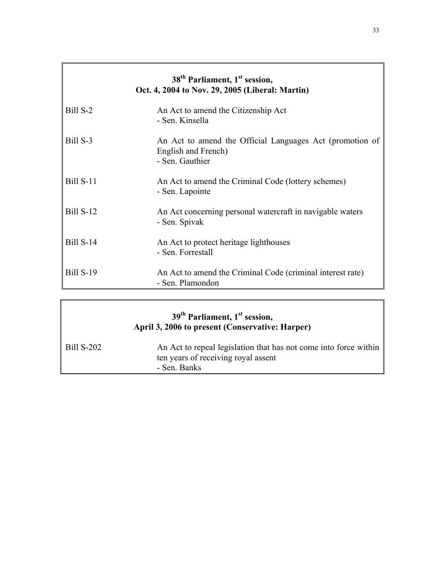|                  | 38 <sup>th</sup> Parliament, 1 <sup>st</sup> session,<br>Oct. 4, 2004 to Nov. 29, 2005 (Liberal: Martin) |
|------------------|----------------------------------------------------------------------------------------------------------|
| Bill S-2         | An Act to amend the Citizenship Act<br>- Sen. Kinsella                                                   |
| Bill S-3         | An Act to amend the Official Languages Act (promotion of<br>English and French)<br>- Sen. Gauthier       |
| <b>Bill S-11</b> | An Act to amend the Criminal Code (lottery schemes)<br>- Sen. Lapointe                                   |
| <b>Bill S-12</b> | An Act concerning personal watercraft in navigable waters<br>- Sen. Spivak                               |
| <b>Bill S-14</b> | An Act to protect heritage lighthouses<br>- Sen. Forrestall                                              |
| <b>Bill S-19</b> | An Act to amend the Criminal Code (criminal interest rate)<br>- Sen. Plamondon                           |

|                        | 39 <sup>th</sup> Parliament, 1 <sup>st</sup> session,<br>April 3, 2006 to present (Conservative: Harper)                |
|------------------------|-------------------------------------------------------------------------------------------------------------------------|
| $\parallel$ Bill S-202 | An Act to repeal legislation that has not come into force within<br>ten years of receiving royal assent<br>- Sen. Banks |

 $\Gamma$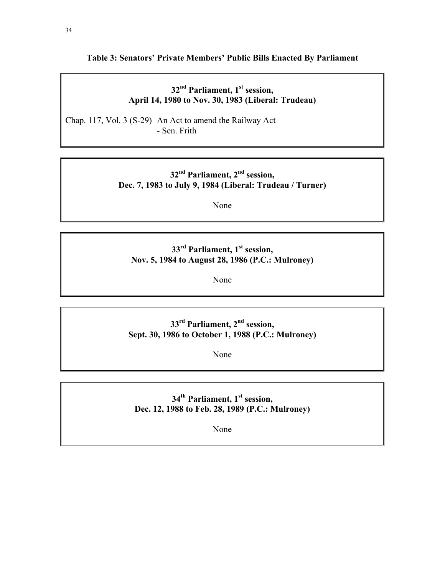#### **Table 3: Senators' Private Members' Public Bills Enacted By Parliament**

### **32nd Parliament, 1st session, April 14, 1980 to Nov. 30, 1983 (Liberal: Trudeau)**

Chap. 117, Vol. 3 (S-29) An Act to amend the Railway Act - Sen. Frith

## **32nd Parliament, 2nd session, Dec. 7, 1983 to July 9, 1984 (Liberal: Trudeau / Turner)**

None

### 33<sup>rd</sup> Parliament, 1<sup>st</sup> session, **Nov. 5, 1984 to August 28, 1986 (P.C.: Mulroney)**

None

## **33rd Parliament, 2nd session, Sept. 30, 1986 to October 1, 1988 (P.C.: Mulroney)**

None

## 34<sup>th</sup> Parliament, 1<sup>st</sup> session, **Dec. 12, 1988 to Feb. 28, 1989 (P.C.: Mulroney)**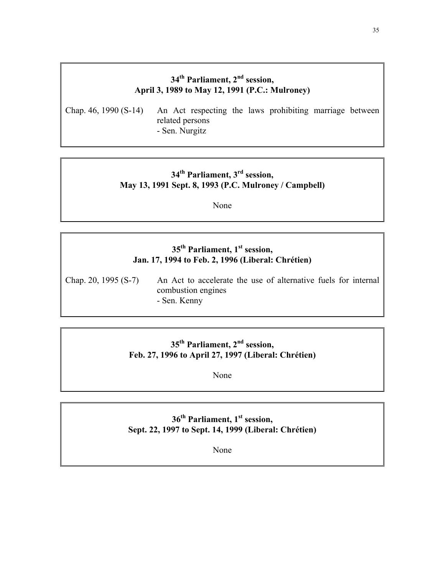## **34th Parliament, 2nd session, April 3, 1989 to May 12, 1991 (P.C.: Mulroney)**

Chap. 46, 1990 (S-14) An Act respecting the laws prohibiting marriage between related persons - Sen. Nurgitz

### **34th Parliament, 3rd session, May 13, 1991 Sept. 8, 1993 (P.C. Mulroney / Campbell)**

None

#### **35th Parliament, 1st session, Jan. 17, 1994 to Feb. 2, 1996 (Liberal: Chrétien)**

Chap. 20, 1995 (S-7) An Act to accelerate the use of alternative fuels for internal combustion engines - Sen. Kenny

## **35th Parliament, 2nd session, Feb. 27, 1996 to April 27, 1997 (Liberal: Chrétien)**

None

### **36th Parliament, 1st session, Sept. 22, 1997 to Sept. 14, 1999 (Liberal: Chrétien)**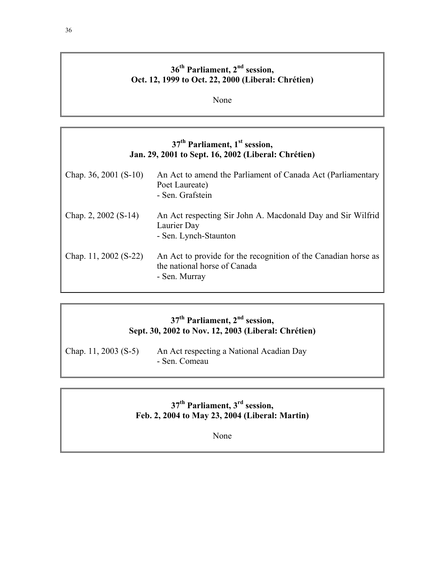## **36th Parliament, 2nd session, Oct. 12, 1999 to Oct. 22, 2000 (Liberal: Chrétien)**

None

## **37th Parliament, 1st session, Jan. 29, 2001 to Sept. 16, 2002 (Liberal: Chrétien)**

| Chap. 36, 2001 $(S-10)$ | An Act to amend the Parliament of Canada Act (Parliamentary<br>Poet Laureate)<br>- Sen. Grafstein               |
|-------------------------|-----------------------------------------------------------------------------------------------------------------|
| Chap. 2, 2002 $(S-14)$  | An Act respecting Sir John A. Macdonald Day and Sir Wilfrid<br>Laurier Day<br>- Sen. Lynch-Staunton             |
| Chap. 11, 2002 (S-22)   | An Act to provide for the recognition of the Canadian horse as<br>the national horse of Canada<br>- Sen. Murray |

## **37th Parliament, 2nd session, Sept. 30, 2002 to Nov. 12, 2003 (Liberal: Chrétien)**

Chap. 11, 2003 (S-5) An Act respecting a National Acadian Day - Sen. Comeau

## **37th Parliament, 3rd session, Feb. 2, 2004 to May 23, 2004 (Liberal: Martin)**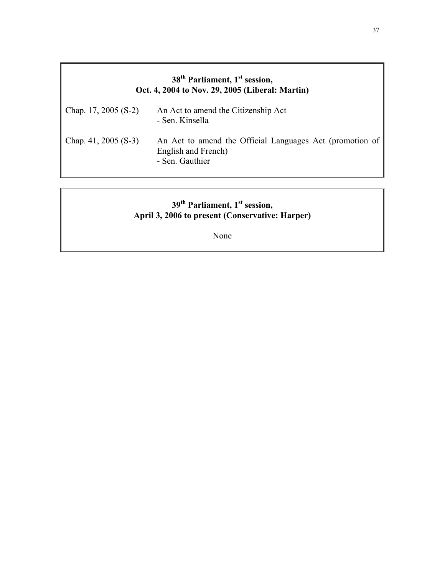#### **38th Parliament, 1st session, Oct. 4, 2004 to Nov. 29, 2005 (Liberal: Martin)**

| Chap. 17, 2005 $(S-2)$ | An Act to amend the Citizenship Act<br>- Sen. Kinsella                                             |
|------------------------|----------------------------------------------------------------------------------------------------|
| Chap. $41, 2005$ (S-3) | An Act to amend the Official Languages Act (promotion of<br>English and French)<br>- Sen. Gauthier |

#### **39th Parliament, 1st session, April 3, 2006 to present (Conservative: Harper)**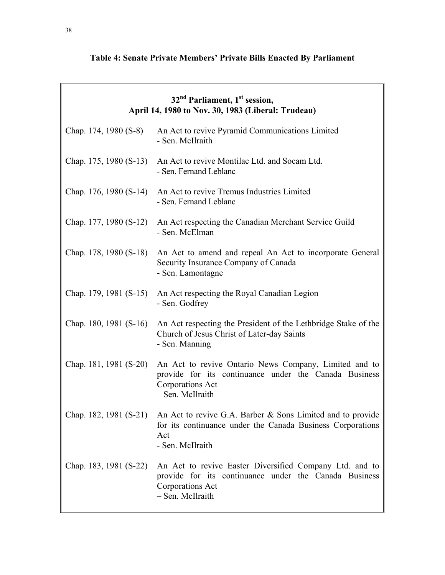# **Table 4: Senate Private Members' Private Bills Enacted By Parliament**

| 32 <sup>nd</sup> Parliament, 1 <sup>st</sup> session,<br>April 14, 1980 to Nov. 30, 1983 (Liberal: Trudeau) |                                                                                                                                                                            |  |
|-------------------------------------------------------------------------------------------------------------|----------------------------------------------------------------------------------------------------------------------------------------------------------------------------|--|
| Chap. 174, 1980 (S-8)                                                                                       | An Act to revive Pyramid Communications Limited<br>- Sen. McIlraith                                                                                                        |  |
| Chap. 175, 1980 (S-13)                                                                                      | An Act to revive Montilac Ltd. and Socam Ltd.<br>- Sen. Fernand Leblanc                                                                                                    |  |
| Chap. 176, 1980 (S-14)                                                                                      | An Act to revive Tremus Industries Limited<br>- Sen. Fernand Leblanc                                                                                                       |  |
| Chap. 177, 1980 (S-12)                                                                                      | An Act respecting the Canadian Merchant Service Guild<br>- Sen. McElman                                                                                                    |  |
| Chap. 178, 1980 (S-18)                                                                                      | An Act to amend and repeal An Act to incorporate General<br>Security Insurance Company of Canada<br>- Sen. Lamontagne                                                      |  |
| Chap. 179, 1981 (S-15)                                                                                      | An Act respecting the Royal Canadian Legion<br>- Sen. Godfrey                                                                                                              |  |
| Chap. 180, 1981 (S-16)                                                                                      | An Act respecting the President of the Lethbridge Stake of the<br>Church of Jesus Christ of Later-day Saints<br>- Sen. Manning                                             |  |
| Chap. 181, 1981 (S-20)                                                                                      | An Act to revive Ontario News Company, Limited and to<br>provide for its continuance under the Canada Business<br>Corporations Act<br>- Sen. McIlraith                     |  |
|                                                                                                             | Chap. 182, 1981 (S-21) An Act to revive G.A. Barber & Sons Limited and to provide<br>for its continuance under the Canada Business Corporations<br>Act<br>- Sen. McIlraith |  |
| Chap. 183, 1981 (S-22)                                                                                      | An Act to revive Easter Diversified Company Ltd. and to<br>provide for its continuance under the Canada Business<br>Corporations Act<br>- Sen. McIlraith                   |  |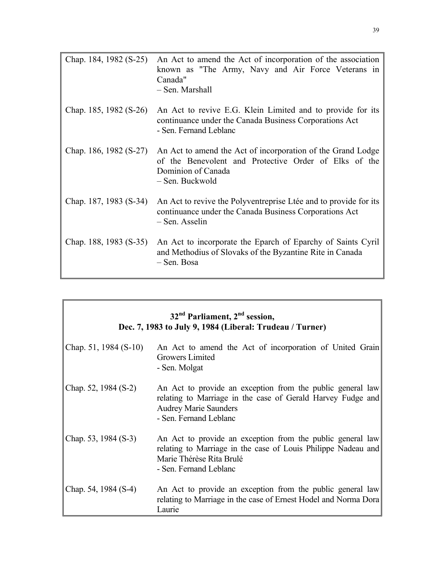| Chap. 184, 1982 (S-25)   | An Act to amend the Act of incorporation of the association<br>known as "The Army, Navy and Air Force Veterans in<br>Canada"<br>- Sen. Marshall               |
|--------------------------|---------------------------------------------------------------------------------------------------------------------------------------------------------------|
| Chap. 185, 1982 $(S-26)$ | An Act to revive E.G. Klein Limited and to provide for its<br>continuance under the Canada Business Corporations Act<br>- Sen. Fernand Leblanc                |
| Chap. 186, 1982 (S-27)   | An Act to amend the Act of incorporation of the Grand Lodge<br>of the Benevolent and Protective Order of Elks of the<br>Dominion of Canada<br>- Sen. Buckwold |
| Chap. 187, 1983 (S-34)   | An Act to revive the Polyventreprise Ltée and to provide for its<br>continuance under the Canada Business Corporations Act<br>- Sen. Asselin                  |
| Chap. 188, 1983 (S-35)   | An Act to incorporate the Eparch of Eparchy of Saints Cyril<br>and Methodius of Slovaks of the Byzantine Rite in Canada<br>- Sen. Bosa                        |

| $32nd$ Parliament, $2nd$ session,<br>Dec. 7, 1983 to July 9, 1984 (Liberal: Trudeau / Turner) |                                                                                                                                                                                     |  |
|-----------------------------------------------------------------------------------------------|-------------------------------------------------------------------------------------------------------------------------------------------------------------------------------------|--|
| Chap. 51, 1984 $(S-10)$                                                                       | An Act to amend the Act of incorporation of United Grain<br>Growers Limited<br>- Sen. Molgat                                                                                        |  |
| Chap. 52, 1984 (S-2)                                                                          | An Act to provide an exception from the public general law<br>relating to Marriage in the case of Gerald Harvey Fudge and<br><b>Audrey Marie Saunders</b><br>- Sen. Fernand Leblanc |  |
| Chap. 53, 1984 (S-3)                                                                          | An Act to provide an exception from the public general law<br>relating to Marriage in the case of Louis Philippe Nadeau and<br>Marie Thérèse Rita Brulé<br>- Sen. Fernand Leblanc   |  |
| Chap. 54, 1984 (S-4)                                                                          | An Act to provide an exception from the public general law<br>relating to Marriage in the case of Ernest Hodel and Norma Dora<br>Laurie                                             |  |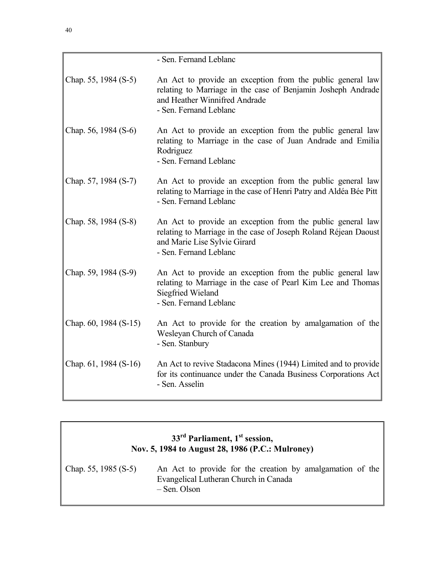| - Sen. Fernand Leblanc                                                                                                                                                                  |
|-----------------------------------------------------------------------------------------------------------------------------------------------------------------------------------------|
| An Act to provide an exception from the public general law<br>relating to Marriage in the case of Benjamin Josheph Andrade<br>and Heather Winnifred Andrade<br>- Sen. Fernand Leblanc   |
| An Act to provide an exception from the public general law<br>relating to Marriage in the case of Juan Andrade and Emilia<br>Rodriguez<br>- Sen. Fernand Leblanc                        |
| An Act to provide an exception from the public general law<br>relating to Marriage in the case of Henri Patry and Aldéa Bée Pitt<br>- Sen. Fernand Leblanc                              |
| An Act to provide an exception from the public general law<br>relating to Marriage in the case of Joseph Roland Réjean Daoust<br>and Marie Lise Sylvie Girard<br>- Sen. Fernand Leblanc |
| An Act to provide an exception from the public general law<br>relating to Marriage in the case of Pearl Kim Lee and Thomas<br>Siegfried Wieland<br>- Sen. Fernand Leblanc               |
| An Act to provide for the creation by amalgamation of the<br>Wesleyan Church of Canada<br>- Sen. Stanbury                                                                               |
| An Act to revive Stadacona Mines (1944) Limited and to provide<br>for its continuance under the Canada Business Corporations Act<br>- Sen. Asselin                                      |
|                                                                                                                                                                                         |

| $33rd$ Parliament, 1 <sup>st</sup> session,<br>Nov. 5, 1984 to August 28, 1986 (P.C.: Mulroney) |                                                                                                                    |
|-------------------------------------------------------------------------------------------------|--------------------------------------------------------------------------------------------------------------------|
| Chap. 55, 1985 $(S-5)$                                                                          | An Act to provide for the creation by amalgamation of the<br>Evangelical Lutheran Church in Canada<br>– Sen. Olson |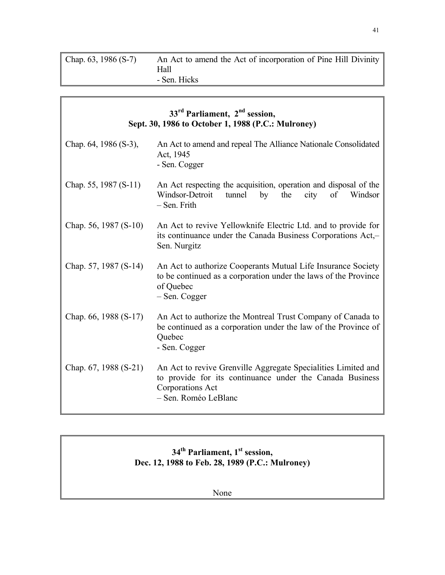| Chap. $63, 1986$ (S-7) | An Act to amend the Act of incorporation of Pine Hill Divinity |
|------------------------|----------------------------------------------------------------|
|                        | Hall                                                           |
|                        | - Sen. Hicks                                                   |

| $33rd$ Parliament, $2nd$ session,<br>Sept. 30, 1986 to October 1, 1988 (P.C.: Mulroney) |                                                                                                                                                                              |
|-----------------------------------------------------------------------------------------|------------------------------------------------------------------------------------------------------------------------------------------------------------------------------|
| Chap. 64, 1986 (S-3),                                                                   | An Act to amend and repeal The Alliance Nationale Consolidated<br>Act, 1945<br>- Sen. Cogger                                                                                 |
| Chap. 55, 1987 (S-11)                                                                   | An Act respecting the acquisition, operation and disposal of the<br>Windsor-Detroit<br>tunnel<br>by<br>the<br>city of<br>Windsor<br>- Sen. Frith                             |
| Chap. 56, 1987 (S-10)                                                                   | An Act to revive Yellowknife Electric Ltd. and to provide for<br>its continuance under the Canada Business Corporations Act,-<br>Sen. Nurgitz                                |
| Chap. 57, 1987 (S-14)                                                                   | An Act to authorize Cooperants Mutual Life Insurance Society<br>to be continued as a corporation under the laws of the Province<br>of Quebec<br>– Sen. Cogger                |
| Chap. 66, 1988 (S-17)                                                                   | An Act to authorize the Montreal Trust Company of Canada to<br>be continued as a corporation under the law of the Province of<br>Quebec<br>- Sen. Cogger                     |
| Chap. 67, 1988 (S-21)                                                                   | An Act to revive Grenville Aggregate Specialities Limited and<br>to provide for its continuance under the Canada Business<br><b>Corporations Act</b><br>- Sen. Roméo LeBlanc |

## **34th Parliament, 1st session, Dec. 12, 1988 to Feb. 28, 1989 (P.C.: Mulroney)**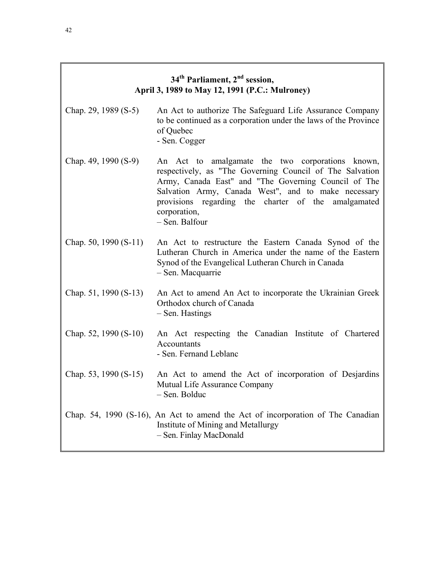| 34 <sup>th</sup> Parliament, 2 <sup>nd</sup> session, |
|-------------------------------------------------------|
| April 3, 1989 to May 12, 1991 (P.C.: Mulroney)        |

- Chap. 29, 1989 (S-5) An Act to authorize The Safeguard Life Assurance Company to be continued as a corporation under the laws of the Province of Quebec - Sen. Cogger
- Chap. 49, 1990 (S-9) An Act to amalgamate the two corporations known, respectively, as "The Governing Council of The Salvation Army, Canada East" and "The Governing Council of The Salvation Army, Canada West", and to make necessary provisions regarding the charter of the amalgamated corporation, – Sen. Balfour
- Chap. 50, 1990 (S-11) An Act to restructure the Eastern Canada Synod of the Lutheran Church in America under the name of the Eastern Synod of the Evangelical Lutheran Church in Canada – Sen. Macquarrie
- Chap. 51, 1990 (S-13) An Act to amend An Act to incorporate the Ukrainian Greek Orthodox church of Canada – Sen. Hastings
- Chap. 52, 1990 (S-10) An Act respecting the Canadian Institute of Chartered **Accountants** - Sen. Fernand Leblanc
- Chap. 53, 1990 (S-15) An Act to amend the Act of incorporation of Desjardins Mutual Life Assurance Company – Sen. Bolduc
- Chap. 54, 1990 (S-16), An Act to amend the Act of incorporation of The Canadian Institute of Mining and Metallurgy – Sen. Finlay MacDonald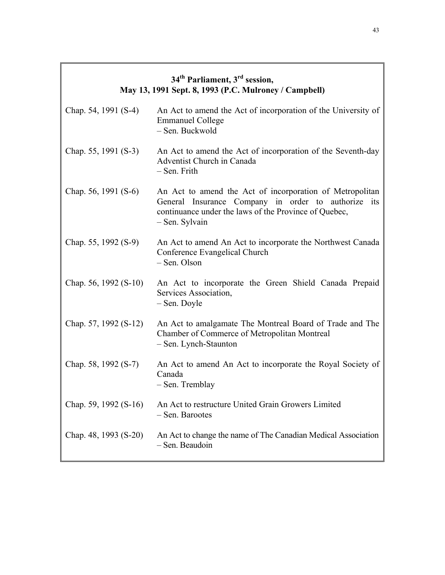# **34th Parliament, 3rd session, May 13, 1991 Sept. 8, 1993 (P.C. Mulroney / Campbell)**  Chap. 54, 1991 (S-4) An Act to amend the Act of incorporation of the University of Emmanuel College – Sen. Buckwold Chap. 55, 1991 (S-3) An Act to amend the Act of incorporation of the Seventh-day Adventist Church in Canada – Sen. Frith Chap. 56, 1991 (S-6) An Act to amend the Act of incorporation of Metropolitan General Insurance Company in order to authorize its continuance under the laws of the Province of Quebec, – Sen. Sylvain Chap. 55, 1992 (S-9) An Act to amend An Act to incorporate the Northwest Canada Conference Evangelical Church – Sen. Olson Chap. 56, 1992 (S-10) An Act to incorporate the Green Shield Canada Prepaid Services Association, – Sen. Doyle Chap. 57, 1992 (S-12) An Act to amalgamate The Montreal Board of Trade and The Chamber of Commerce of Metropolitan Montreal – Sen. Lynch-Staunton Chap. 58, 1992 (S-7) An Act to amend An Act to incorporate the Royal Society of Canada – Sen. Tremblay Chap. 59, 1992 (S-16) An Act to restructure United Grain Growers Limited – Sen. Barootes Chap. 48, 1993 (S-20) An Act to change the name of The Canadian Medical Association – Sen. Beaudoin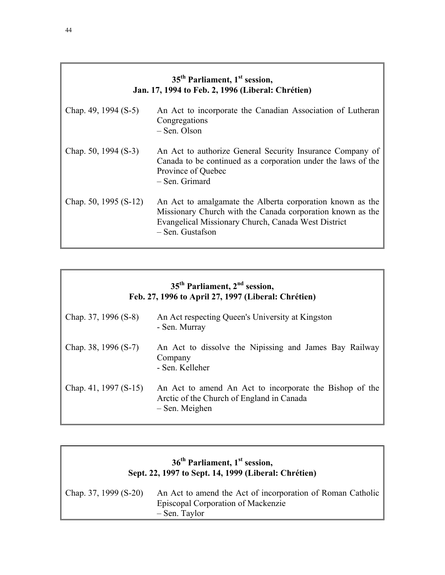| 35 <sup>th</sup> Parliament, 1 <sup>st</sup> session,<br>Jan. 17, 1994 to Feb. 2, 1996 (Liberal: Chrétien) |                                                                                                                                                                                                    |  |
|------------------------------------------------------------------------------------------------------------|----------------------------------------------------------------------------------------------------------------------------------------------------------------------------------------------------|--|
| Chap. 49, 1994 $(S-5)$                                                                                     | An Act to incorporate the Canadian Association of Lutheran<br>Congregations<br>– Sen. Olson                                                                                                        |  |
| Chap. 50, 1994 $(S-3)$                                                                                     | An Act to authorize General Security Insurance Company of<br>Canada to be continued as a corporation under the laws of the<br>Province of Quebec<br>- Sen. Grimard                                 |  |
| Chap. 50, 1995 (S-12)                                                                                      | An Act to amalgamate the Alberta corporation known as the<br>Missionary Church with the Canada corporation known as the<br>Evangelical Missionary Church, Canada West District<br>– Sen. Gustafson |  |

| 35 <sup>th</sup> Parliament, 2 <sup>nd</sup> session,<br>Feb. 27, 1996 to April 27, 1997 (Liberal: Chrétien) |                                                                                                                        |  |
|--------------------------------------------------------------------------------------------------------------|------------------------------------------------------------------------------------------------------------------------|--|
| Chap. $37, 1996$ (S-8)                                                                                       | An Act respecting Queen's University at Kingston<br>- Sen. Murray                                                      |  |
| Chap. 38, 1996 $(S-7)$                                                                                       | An Act to dissolve the Nipissing and James Bay Railway<br>Company<br>- Sen. Kelleher                                   |  |
| Chap. 41, 1997 $(S-15)$                                                                                      | An Act to amend An Act to incorporate the Bishop of the<br>Arctic of the Church of England in Canada<br>- Sen. Meighen |  |

| $36th$ Parliament, $1st$ session,<br>Sept. 22, 1997 to Sept. 14, 1999 (Liberal: Chrétien) |                                                                                                                   |  |  |  |
|-------------------------------------------------------------------------------------------|-------------------------------------------------------------------------------------------------------------------|--|--|--|
| Chap. 37, 1999 (S-20)                                                                     | An Act to amend the Act of incorporation of Roman Catholic<br>Episcopal Corporation of Mackenzie<br>- Sen. Taylor |  |  |  |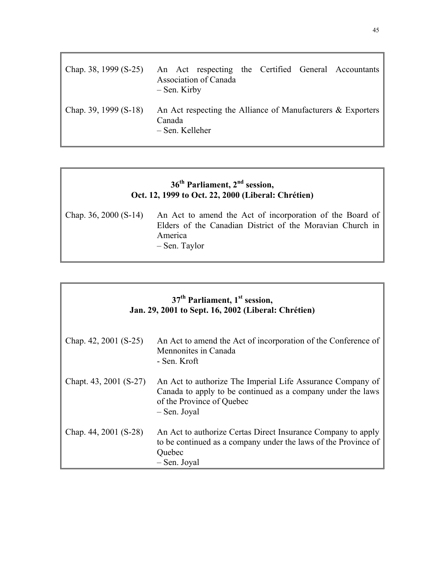| Chap. 38, 1999 $(S-25)$ | $-$ Sen. Kirby            | Association of Canada |  | An Act respecting the Certified General Accountants            |
|-------------------------|---------------------------|-----------------------|--|----------------------------------------------------------------|
| Chap. 39, 1999 $(S-18)$ | Canada<br>– Sen. Kelleher |                       |  | An Act respecting the Alliance of Manufacturers $\&$ Exporters |

#### **36th Parliament, 2nd session, Oct. 12, 1999 to Oct. 22, 2000 (Liberal: Chrétien)**

Chap. 36, 2000 (S-14) An Act to amend the Act of incorporation of the Board of Elders of the Canadian District of the Moravian Church in America – Sen. Taylor

| 37 <sup>th</sup> Parliament, 1 <sup>st</sup> session,<br>Jan. 29, 2001 to Sept. 16, 2002 (Liberal: Chrétien) |                                                                                                                                                                        |  |  |  |
|--------------------------------------------------------------------------------------------------------------|------------------------------------------------------------------------------------------------------------------------------------------------------------------------|--|--|--|
| Chap. $42, 2001$ (S-25)                                                                                      | An Act to amend the Act of incorporation of the Conference of<br>Mennonites in Canada<br>- Sen. Kroft                                                                  |  |  |  |
| Chapt. 43, 2001 (S-27)                                                                                       | An Act to authorize The Imperial Life Assurance Company of<br>Canada to apply to be continued as a company under the laws<br>of the Province of Quebec<br>- Sen. Joyal |  |  |  |
| Chap. 44, 2001 (S-28)                                                                                        | An Act to authorize Certas Direct Insurance Company to apply<br>to be continued as a company under the laws of the Province of<br>Quebec<br>- Sen. Joyal               |  |  |  |